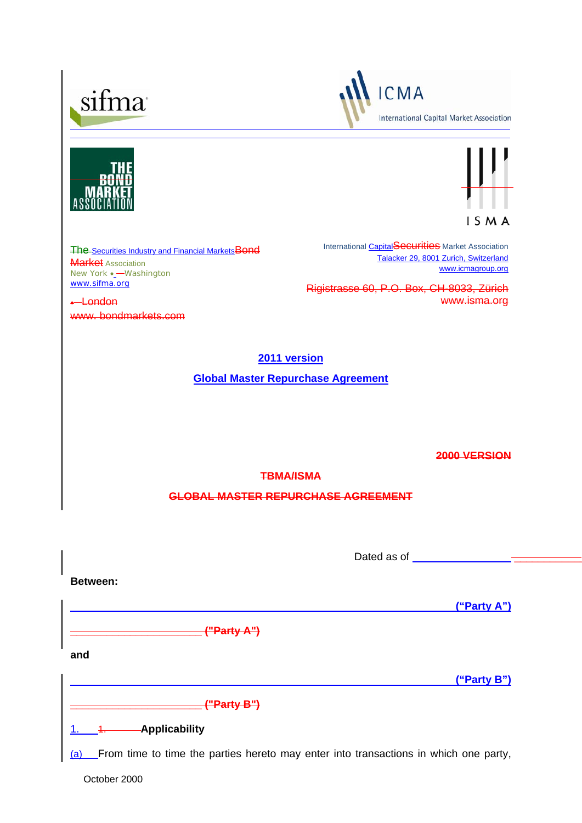



sifma

**ISMA** 

www.isma.org

The Securities Industry and Financial Markets Bond **Market** Association New York • Washington www.sifma.org

Talacker 29, 8001 Zurich, Switzerland www.icmagroup.org Rigistrasse 60, P.O. Box, CH-8033, Zürich

International **Capital Securities** Market Association

• London

www. bondmarkets.com

## **2011 version**

**Global Master Repurchase Agreement**

**2000 VERSION**

## **TBMA/ISMA**

**GLOBAL MASTER REPURCHASE AGREEMENT**

|                                                                                             | Dated as of __ |
|---------------------------------------------------------------------------------------------|----------------|
| Between:                                                                                    |                |
|                                                                                             | ("Party A")    |
| ("Party A")                                                                                 |                |
| and                                                                                         |                |
|                                                                                             | ("Party B")    |
| ("Party B")                                                                                 |                |
| -Applicability                                                                              |                |
| From time to time the parties hereto may enter into transactions in which one party,<br>(a) |                |

October 2000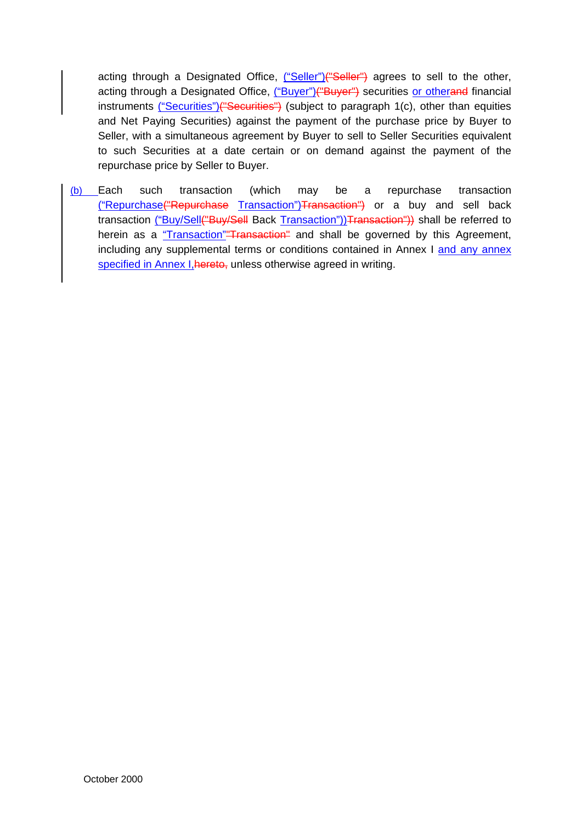acting through a Designated Office, "Seller")("Seller") agrees to sell to the other, acting through a Designated Office, ("Buyer")("Buyer") securities or otherand financial instruments ("Securities")("Securities") (subject to paragraph 1(c), other than equities and Net Paying Securities) against the payment of the purchase price by Buyer to Seller, with a simultaneous agreement by Buyer to sell to Seller Securities equivalent to such Securities at a date certain or on demand against the payment of the repurchase price by Seller to Buyer.

(b) Each such transaction (which may be a repurchase transaction ("Repurchase("Repurchase Transaction")Transaction") or a buy and sell back transaction ("Buy/Sell("Buy/Sell Back Transaction")) Transaction")) shall be referred to herein as a "Transaction" "Transaction" and shall be governed by this Agreement, including any supplemental terms or conditions contained in Annex I and any annex specified in Annex I, hereto, unless otherwise agreed in writing.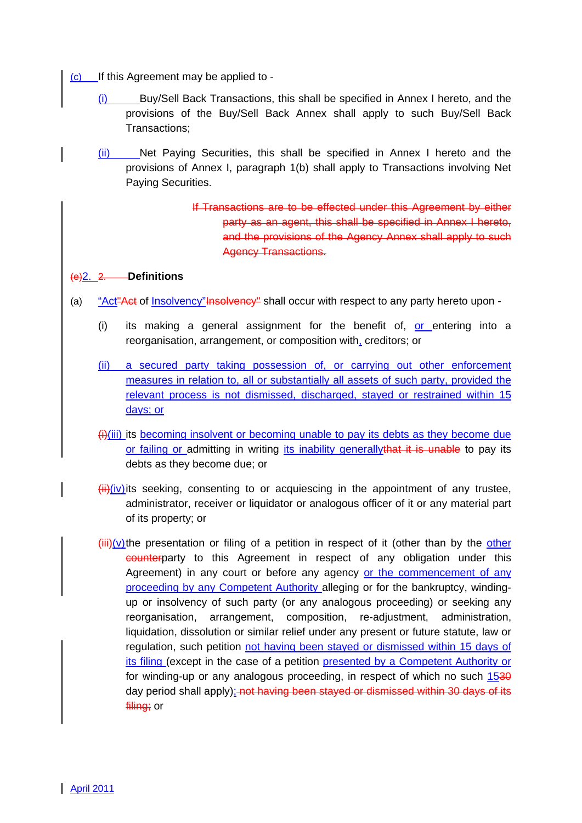- (c) If this Agreement may be applied to
	- (i) Buy/Sell Back Transactions, this shall be specified in Annex I hereto, and the provisions of the Buy/Sell Back Annex shall apply to such Buy/Sell Back Transactions;
	- (ii) Net Paying Securities, this shall be specified in Annex I hereto and the provisions of Annex I, paragraph 1(b) shall apply to Transactions involving Net Paying Securities.

If Transactions are to be effected under this Agreement by either party as an agent, this shall be specified in Annex I hereto, and the provisions of the Agency Annex shall apply to such Agency Transactions.

#### (e)2. 2. **Definitions**

- (a)  $\frac{d\text{Act}}{\text{Act}}$  and  $\frac{d\text{Solvency}}{\text{Test}}$  insolvency" insolvency" shall occur with respect to any party hereto upon -
	- (i) its making a general assignment for the benefit of, or entering into a reorganisation, arrangement, or composition with, creditors; or
	- (ii) a secured party taking possession of, or carrying out other enforcement measures in relation to, all or substantially all assets of such party, provided the relevant process is not dismissed, discharged, stayed or restrained within 15 days; or
	- $(H)(iii)$  its becoming insolvent or becoming unable to pay its debts as they become due or failing or admitting in writing its inability generally that it is unable to pay its debts as they become due; or
	- $\frac{\pi i}{\pi}$ (iv) its seeking, consenting to or acquiescing in the appointment of any trustee, administrator, receiver or liquidator or analogous officer of it or any material part of its property; or
	- $\overline{\text{Hil}}(v)$  the presentation or filing of a petition in respect of it (other than by the other counterparty to this Agreement in respect of any obligation under this Agreement) in any court or before any agency or the commencement of any proceeding by any Competent Authority alleging or for the bankruptcy, windingup or insolvency of such party (or any analogous proceeding) or seeking any reorganisation, arrangement, composition, re-adjustment, administration, liquidation, dissolution or similar relief under any present or future statute, law or regulation, such petition not having been stayed or dismissed within 15 days of its filing (except in the case of a petition presented by a Competent Authority or for winding-up or any analogous proceeding, in respect of which no such 1530 day period shall apply); not having been stayed or dismissed within 30 days of its filing: or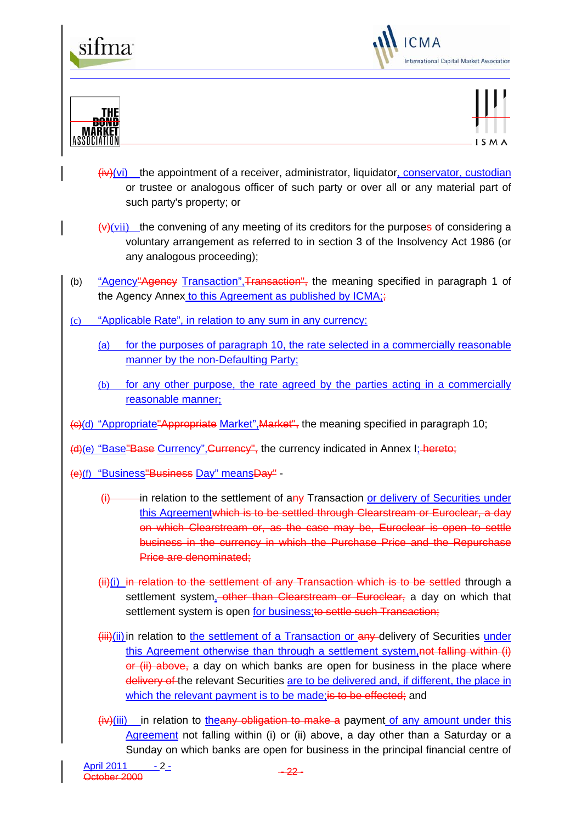

- $(iv)(vi)$  the appointment of a receiver, administrator, liquidator, conservator, custodian or trustee or analogous officer of such party or over all or any material part of such party's property; or
- $(v)(vii)$  the convening of any meeting of its creditors for the purposes of considering a voluntary arrangement as referred to in section 3 of the Insolvency Act 1986 (or any analogous proceeding);
- (b) "Agency"Agency Transaction", Transaction", the meaning specified in paragraph 1 of the Agency Annex to this Agreement as published by ICMA;;
- (c) "Applicable Rate", in relation to any sum in any currency:
	- (a) for the purposes of paragraph 10, the rate selected in a commercially reasonable manner by the non-Defaulting Party;
	- (b) for any other purpose, the rate agreed by the parties acting in a commercially reasonable manner;

 $(\theta)$ (d) "Appropriate"Appropriate Market", Market", the meaning specified in paragraph 10;

(d)(e) "Base"Base Currency", Currency", the currency indicated in Annex I; hereto;

(e)(f) "Business"Business Day" meansDay" -

- $\ddot{\theta}$  in relation to the settlement of any Transaction or delivery of Securities under this Agreementwhich is to be settled through Clearstream or Euroclear, a day on which Clearstream or, as the case may be, Euroclear is open to settle business in the currency in which the Purchase Price and the Repurchase Price are denominated:
- (ii)(i) in relation to the settlement of any Transaction which is to be settled through a settlement system, other than Clearstream or Euroclear, a day on which that settlement system is open for business; to settle such Transaction;
- (iii)(ii) in relation to the settlement of a Transaction or any delivery of Securities under this Agreement otherwise than through a settlement system, not falling within (i) or (ii) above, a day on which banks are open for business in the place where delivery of the relevant Securities are to be delivered and, if different, the place in which the relevant payment is to be made; is to be effected; and
- $(iv)(iii)$  in relation to theany obligation to make a payment of any amount under this Agreement not falling within (i) or (ii) above, a day other than a Saturday or a Sunday on which banks are open for business in the principal financial centre of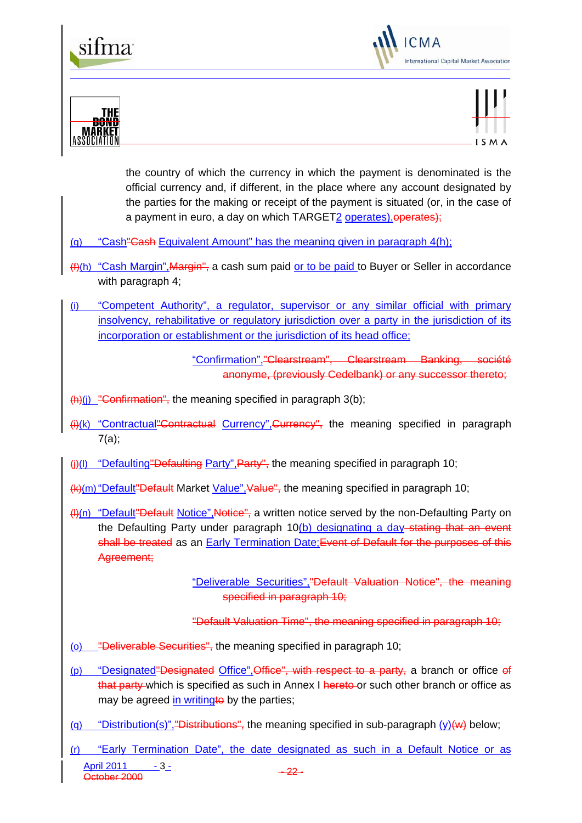



official currency and, if different, in the place where any account designated by the parties for the making or receipt of the payment is situated (or, in the case of a payment in euro, a day on which TARGET2 operates). operates);

- (g) "Cash"Cash Equivalent Amount" has the meaning given in paragraph 4(h);
- (f)(h) "Cash Margin",Margin", a cash sum paid or to be paid to Buyer or Seller in accordance with paragraph 4;
- (i) "Competent Authority", a regulator, supervisor or any similar official with primary insolvency, rehabilitative or regulatory jurisdiction over a party in the jurisdiction of its incorporation or establishment or the jurisdiction of its head office;

"Confirmation","Clearstream", Clearstream Banking, société anonyme, (previously Cedelbank) or any successor thereto;

 $(h)(i)$  "Confirmation", the meaning specified in paragraph 3(b);

**MARI ASSOCIATION** 

- (i)(k) "Contractual"Contractual Currency",Currency", the meaning specified in paragraph 7(a);
- $\left(\frac{1}{2}(|) \right)$  "Defaulting" Defaulting Party", Party", the meaning specified in paragraph 10;

(k)(m) "Default"Default Market Value",Value", the meaning specified in paragraph 10;

(H)(n) "Default"Default Notice", Notice", a written notice served by the non-Defaulting Party on the Defaulting Party under paragraph 10(b) designating a day-stating that an event shall be treated as an Early Termination Date; Event of Default for the purposes of this Agreement;

> "Deliverable Securities","Default Valuation Notice", the meaning specified in paragraph 10;

"Default Valuation Time", the meaning specified in paragraph 10;

- (o) "Deliverable Securities", the meaning specified in paragraph 10;
- (p) "Designated"<del>Designated</del> Office",  $\overline{\text{Office}}$ ", with respect to a party, a branch or office of that party which is specified as such in Annex I hereto or such other branch or office as may be agreed in writingto by the parties;
- (q) "Distribution(s)", "Distributions", the meaning specified in sub-paragraph  $(y)(w)$  below;
- April 2011 3 -October 2000 - <sup>22</sup> - (r) "Early Termination Date", the date designated as such in a Default Notice or as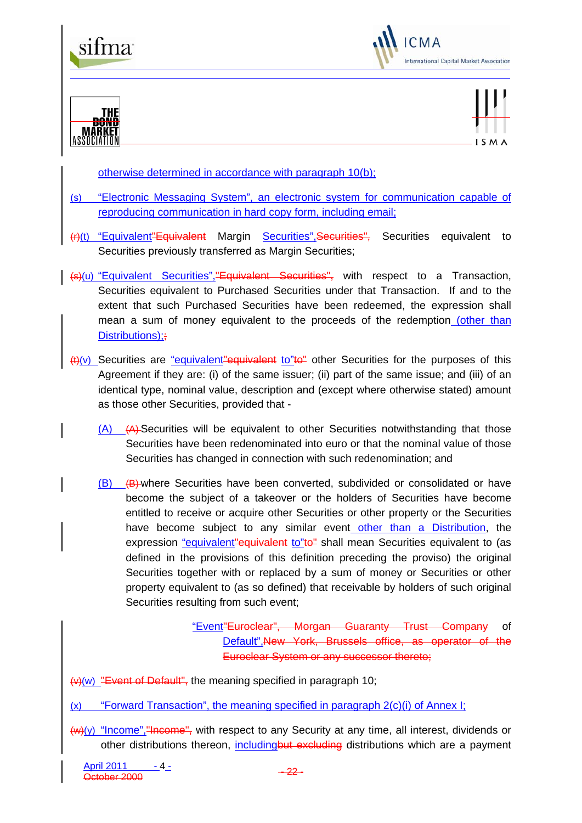





- $(t)$ (v) Securities are "equivalent" equivalent to"to" other Securities for the purposes of this Agreement if they are: (i) of the same issuer; (ii) part of the same issue; and (iii) of an identical type, nominal value, description and (except where otherwise stated) amount as those other Securities, provided that -
	- (A) (A) Securities will be equivalent to other Securities notwithstanding that those Securities have been redenominated into euro or that the nominal value of those Securities has changed in connection with such redenomination; and
	- $(B)$   $(B)$  where Securities have been converted, subdivided or consolidated or have become the subject of a takeover or the holders of Securities have become entitled to receive or acquire other Securities or other property or the Securities have become subject to any similar event other than a Distribution, the expression "equivalent" equivalent to "to" shall mean Securities equivalent to (as defined in the provisions of this definition preceding the proviso) the original Securities together with or replaced by a sum of money or Securities or other property equivalent to (as so defined) that receivable by holders of such original Securities resulting from such event;

"Event"Euroclear", Morgan Guaranty Trust Company of Default",New York, Brussels office, as operator of the Euroclear System or any successor thereto;

 $(v)(w)$  "Event of Default", the meaning specified in paragraph 10;

 $(x)$  "Forward Transaction", the meaning specified in paragraph  $2(c)(i)$  of Annex I;

 $(w)(y)$  "Income", "Income", with respect to any Security at any time, all interest, dividends or other distributions thereon, including but excluding distributions which are a payment

April 2011 - 4 -October 2000 - <sup>22</sup> -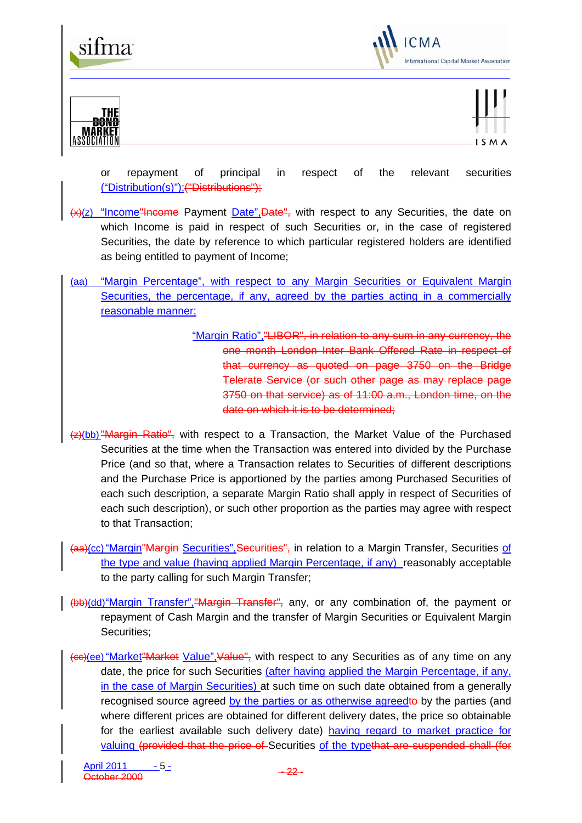

or repayment of principal in respect of the relevant securities ("Distribution(s)");("Distributions");

- $(x)(z)$  "Income Income Payment Date", Date", with respect to any Securities, the date on which Income is paid in respect of such Securities or, in the case of registered Securities, the date by reference to which particular registered holders are identified as being entitled to payment of Income;
- (aa) "Margin Percentage", with respect to any Margin Securities or Equivalent Margin Securities, the percentage, if any, agreed by the parties acting in a commercially reasonable manner;

"Margin Ratio", "LIBOR", in relation to any sum in any currency, the one month London Inter Bank Offered Rate in respect of that currency as quoted on page 3750 on the Bridge Telerate Service (or such other page as may replace page 3750 on that service) as of 11:00 a.m., London time, on the date on which it is to be determined;

- (z)(bb) "Margin Ratio", with respect to a Transaction, the Market Value of the Purchased Securities at the time when the Transaction was entered into divided by the Purchase Price (and so that, where a Transaction relates to Securities of different descriptions and the Purchase Price is apportioned by the parties among Purchased Securities of each such description, a separate Margin Ratio shall apply in respect of Securities of each such description), or such other proportion as the parties may agree with respect to that Transaction;
- (aa)(cc) "Margin"Margin Securities", Securities", in relation to a Margin Transfer, Securities of the type and value (having applied Margin Percentage, if any) reasonably acceptable to the party calling for such Margin Transfer;
- (bb)(dd) "Margin Transfer","Margin Transfer", any, or any combination of, the payment or repayment of Cash Margin and the transfer of Margin Securities or Equivalent Margin Securities;
- (cc)(ee) "Market"Market Value", Value", with respect to any Securities as of any time on any date, the price for such Securities (after having applied the Margin Percentage, if any, in the case of Margin Securities) at such time on such date obtained from a generally recognised source agreed by the parties or as otherwise agreedto by the parties (and where different prices are obtained for different delivery dates, the price so obtainable for the earliest available such delivery date) having regard to market practice for valuing (provided that the price of Securities of the typethat are suspended shall (for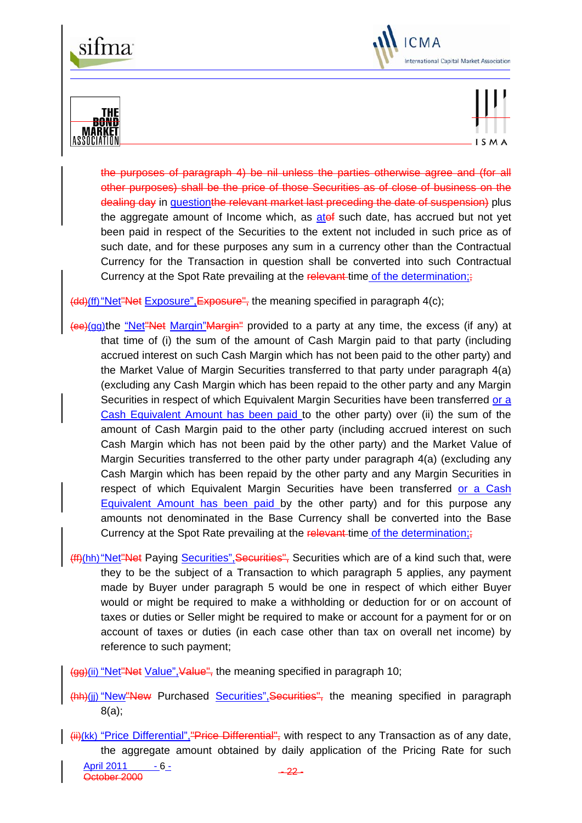

the purposes of paragraph 4) be nil unless the parties otherwise agree and (for all other purposes) shall be the price of those Securities as of close of business on the dealing day in questionthe relevant market last preceding the date of suspension) plus the aggregate amount of Income which, as atef such date, has accrued but not yet been paid in respect of the Securities to the extent not included in such price as of such date, and for these purposes any sum in a currency other than the Contractual Currency for the Transaction in question shall be converted into such Contractual Currency at the Spot Rate prevailing at the relevant time of the determination;

ISMA

(dd)(ff) "Net"Net Exposure",Exposure", the meaning specified in paragraph 4(c);

- (ee)(gg) the "Net"Net Margin"Margin" provided to a party at any time, the excess (if any) at that time of (i) the sum of the amount of Cash Margin paid to that party (including accrued interest on such Cash Margin which has not been paid to the other party) and the Market Value of Margin Securities transferred to that party under paragraph 4(a) (excluding any Cash Margin which has been repaid to the other party and any Margin Securities in respect of which Equivalent Margin Securities have been transferred or a Cash Equivalent Amount has been paid to the other party) over (ii) the sum of the amount of Cash Margin paid to the other party (including accrued interest on such Cash Margin which has not been paid by the other party) and the Market Value of Margin Securities transferred to the other party under paragraph 4(a) (excluding any Cash Margin which has been repaid by the other party and any Margin Securities in respect of which Equivalent Margin Securities have been transferred or a Cash Equivalent Amount has been paid by the other party) and for this purpose any amounts not denominated in the Base Currency shall be converted into the Base Currency at the Spot Rate prevailing at the relevant-time of the determination;;
- (ff)(hh) "Net"Net Paying Securities", Securities", Securities which are of a kind such that, were they to be the subject of a Transaction to which paragraph 5 applies, any payment made by Buyer under paragraph 5 would be one in respect of which either Buyer would or might be required to make a withholding or deduction for or on account of taxes or duties or Seller might be required to make or account for a payment for or on account of taxes or duties (in each case other than tax on overall net income) by reference to such payment;

(gg)(ii) "Net"Net Value",Value", the meaning specified in paragraph 10;

(hh)(ji) "New"New Purchased Securities", Securities", the meaning specified in paragraph 8(a);

April 2011 - 6 - (iii)(kk) "Price Differential", "Price Differential", with respect to any Transaction as of any date, the aggregate amount obtained by daily application of the Pricing Rate for such

ASSOCIATION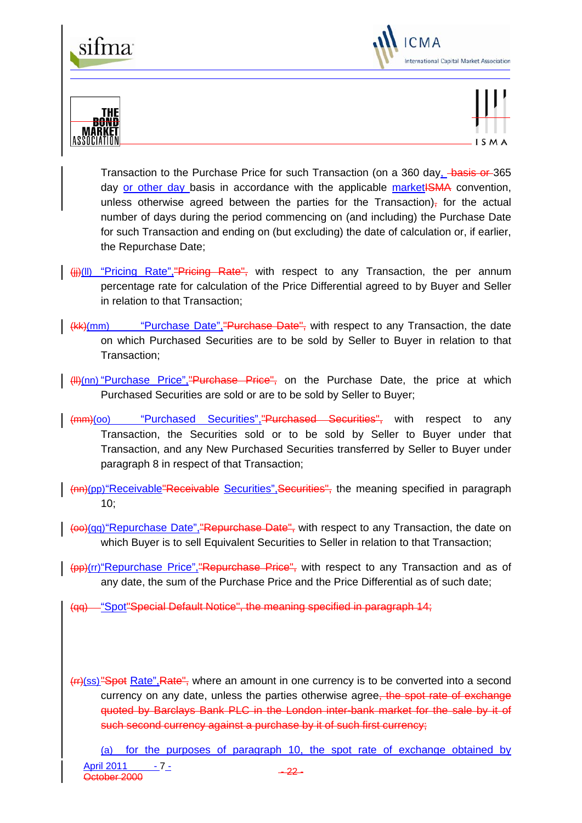

Transaction to the Purchase Price for such Transaction (on a 360 day, basis or 365 day or other day basis in accordance with the applicable marketISMA convention, unless otherwise agreed between the parties for the Transaction), for the actual number of days during the period commencing on (and including) the Purchase Date for such Transaction and ending on (but excluding) the date of calculation or, if earlier, the Repurchase Date;

- (iii)(ll) "Pricing Rate",<del>"Pricing Rate",</del> with respect to any Transaction, the per annum percentage rate for calculation of the Price Differential agreed to by Buyer and Seller in relation to that Transaction;
- (kk)(mm) "Purchase Date","Purchase Date", with respect to any Transaction, the date on which Purchased Securities are to be sold by Seller to Buyer in relation to that Transaction;
- (ll)(nn) "Purchase Price","Purchase Price", on the Purchase Date, the price at which Purchased Securities are sold or are to be sold by Seller to Buyer;
- (mm)(oo) "Purchased Securities","Purchased Securities", with respect to any Transaction, the Securities sold or to be sold by Seller to Buyer under that Transaction, and any New Purchased Securities transferred by Seller to Buyer under paragraph 8 in respect of that Transaction;
- (nn)(pp) "Receivable"Receivable Securities", Securities", the meaning specified in paragraph 10;
- (oo)(qq) "Repurchase Date","Repurchase Date", with respect to any Transaction, the date on which Buyer is to sell Equivalent Securities to Seller in relation to that Transaction;
- (pp)(rr) "Repurchase Price","Repurchase Price", with respect to any Transaction and as of any date, the sum of the Purchase Price and the Price Differential as of such date;
- (qq) "Spot"Special Default Notice", the meaning specified in paragraph 14;

(rr)(ss) "Spot Rate",Rate", where an amount in one currency is to be converted into a second currency on any date, unless the parties otherwise agree, the spot rate of exchange quoted by Barclays Bank PLC in the London inter-bank market for the sale by it of such second currency against a purchase by it of such first currency;

(a) for the purposes of paragraph 10, the spot rate of exchange obtained by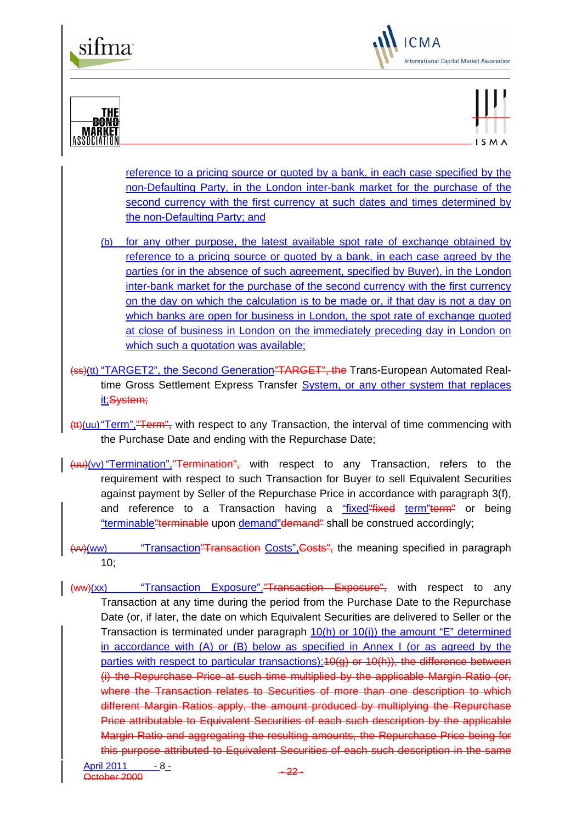

MARKE **ASSOCIATION** 





reference to a pricing source or quoted by a bank, in each case specified by the non-Defaulting Party, in the London inter-bank market for the purchase of the second currency with the first currency at such dates and times determined by the non-Defaulting Party; and

(b) for any other purpose, the latest available spot rate of exchange obtained by reference to a pricing source or quoted by a bank, in each case agreed by the parties (or in the absence of such agreement, specified by Buyer), in the London inter-bank market for the purchase of the second currency with the first currency on the day on which the calculation is to be made or, if that day is not a day on which banks are open for business in London, the spot rate of exchange quoted at close of business in London on the immediately preceding day in London on which such a quotation was available;

(ss)(tt) "TARGET2", the Second Generation"TARGET", the Trans-European Automated Realtime Gross Settlement Express Transfer System, or any other system that replaces it;System;

(tt)(uu) "Term","Term", with respect to any Transaction, the interval of time commencing with the Purchase Date and ending with the Repurchase Date;

- (uu)(vv) "Termination","Termination", with respect to any Transaction, refers to the requirement with respect to such Transaction for Buyer to sell Equivalent Securities against payment by Seller of the Repurchase Price in accordance with paragraph 3(f), and reference to a Transaction having a "fixed" fixed term term or being "terminable"terminable upon demand"demand" shall be construed accordingly;
- (vv)(ww) "Transaction"Transaction Costs",Costs", the meaning specified in paragraph  $10:$
- (ww)(xx) "Transaction Exposure","Transaction Exposure", with respect to any Transaction at any time during the period from the Purchase Date to the Repurchase Date (or, if later, the date on which Equivalent Securities are delivered to Seller or the Transaction is terminated under paragraph  $10(h)$  or  $10(i)$ ) the amount "E" determined in accordance with (A) or (B) below as specified in Annex I (or as agreed by the parties with respect to particular transactions): $40(4)$  or  $10(h)$ , the difference between (i) the Repurchase Price at such time multiplied by the applicable Margin Ratio (or, where the Transaction relates to Securities of more than one description to which different Margin Ratios apply, the amount produced by multiplying the Repurchase Price attributable to Equivalent Securities of each such description by the applicable Margin Ratio and aggregating the resulting amounts, the Repurchase Price being for this purpose attributed to Equivalent Securities of each such description in the same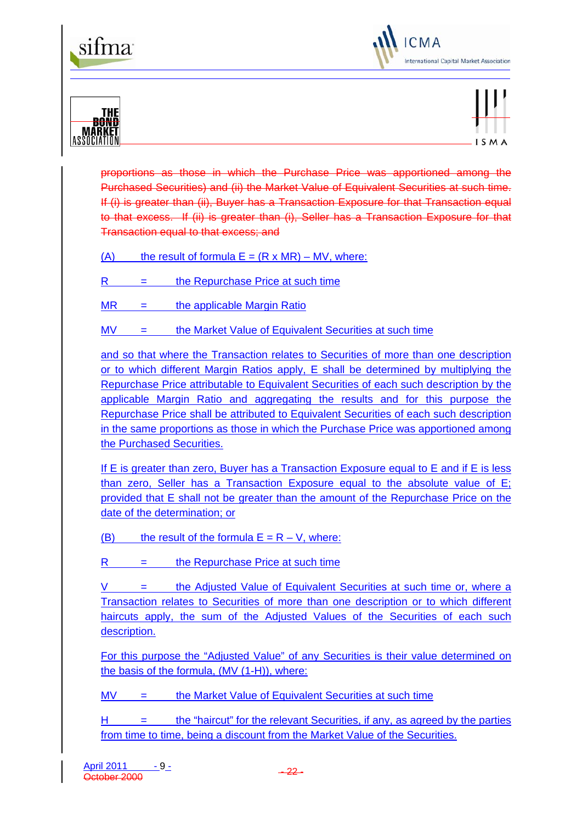

<u>BOND</u> MARKEI **ASSOCIATION** 





proportions as those in which the Purchase Price was apportioned among the Purchased Securities) and (ii) the Market Value of Equivalent Securities at such time. If (i) is greater than (ii), Buyer has a Transaction Exposure for that Transaction equal to that excess. If (ii) is greater than (i), Seller has a Transaction Exposure for that Transaction equal to that excess; and

(A) the result of formula  $E = (R \times MR) - MV$ , where:

 $R =$  the Repurchase Price at such time

 $MR =$  the applicable Margin Ratio

 $MV =$  the Market Value of Equivalent Securities at such time

and so that where the Transaction relates to Securities of more than one description or to which different Margin Ratios apply, E shall be determined by multiplying the Repurchase Price attributable to Equivalent Securities of each such description by the applicable Margin Ratio and aggregating the results and for this purpose the Repurchase Price shall be attributed to Equivalent Securities of each such description in the same proportions as those in which the Purchase Price was apportioned among the Purchased Securities.

If E is greater than zero, Buyer has a Transaction Exposure equal to E and if E is less than zero, Seller has a Transaction Exposure equal to the absolute value of E; provided that E shall not be greater than the amount of the Repurchase Price on the date of the determination; or

(B) the result of the formula  $E = R - V$ , where:

 $R =$  the Repurchase Price at such time

 $V =$  the Adjusted Value of Equivalent Securities at such time or, where a Transaction relates to Securities of more than one description or to which different haircuts apply, the sum of the Adjusted Values of the Securities of each such description.

For this purpose the "Adjusted Value" of any Securities is their value determined on the basis of the formula, (MV (1-H)), where:

 $MV =$  the Market Value of Equivalent Securities at such time

 $H =$  the "haircut" for the relevant Securities, if any, as agreed by the parties from time to time, being a discount from the Market Value of the Securities.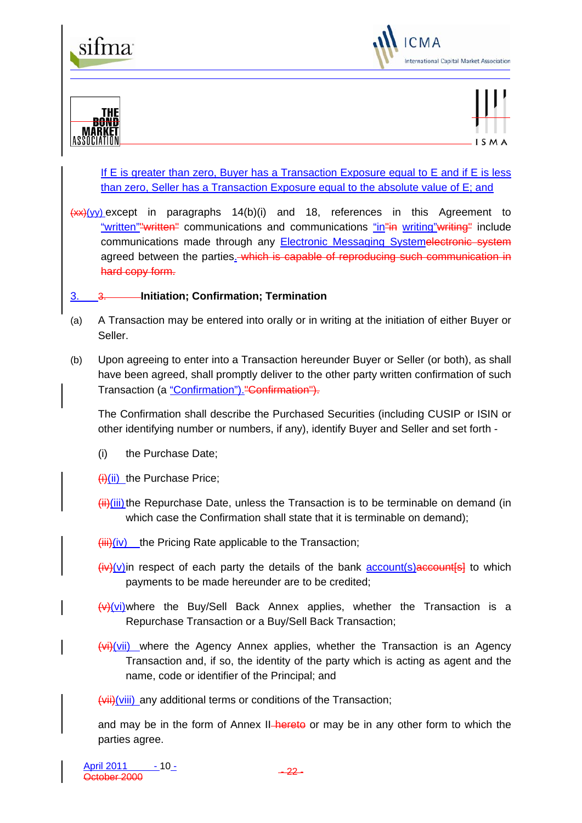

**ASSOCIATIO** 





If E is greater than zero, Buyer has a Transaction Exposure equal to E and if E is less than zero, Seller has a Transaction Exposure equal to the absolute value of E; and

 $(xx)(yy)$  except in paragraphs 14(b)(i) and 18, references in this Agreement to "written" written "communications and communications "in "in writing" writing include communications made through any Electronic Messaging Systemelectronic system agreed between the parties. which is capable of reproducing such communication in hard copy form.

3. 3. **Initiation; Confirmation; Termination** 

- (a) A Transaction may be entered into orally or in writing at the initiation of either Buyer or Seller.
- (b) Upon agreeing to enter into a Transaction hereunder Buyer or Seller (or both), as shall have been agreed, shall promptly deliver to the other party written confirmation of such Transaction (a "Confirmation")."Confirmation").

The Confirmation shall describe the Purchased Securities (including CUSIP or ISIN or other identifying number or numbers, if any), identify Buyer and Seller and set forth -

(i) the Purchase Date;

 $\left(\frac{1}{1}\right)(ii)$  the Purchase Price;

 $\overline{\text{iii}}$ (iii) the Repurchase Date, unless the Transaction is to be terminable on demand (in which case the Confirmation shall state that it is terminable on demand);

 $\overline{\text{Hil}}(iv)$  the Pricing Rate applicable to the Transaction;

- $(i\mathcal{H})(v)$  in respect of each party the details of the bank account(s) account  $s$  to which payments to be made hereunder are to be credited;
- $\frac{(\mathsf{v})(\mathsf{v})}{(\mathsf{v})}$  where the Buy/Sell Back Annex applies, whether the Transaction is a Repurchase Transaction or a Buy/Sell Back Transaction;
- $(vii)$  where the Agency Annex applies, whether the Transaction is an Agency Transaction and, if so, the identity of the party which is acting as agent and the name, code or identifier of the Principal; and

(vii)(viii) any additional terms or conditions of the Transaction;

and may be in the form of Annex II-hereto or may be in any other form to which the parties agree.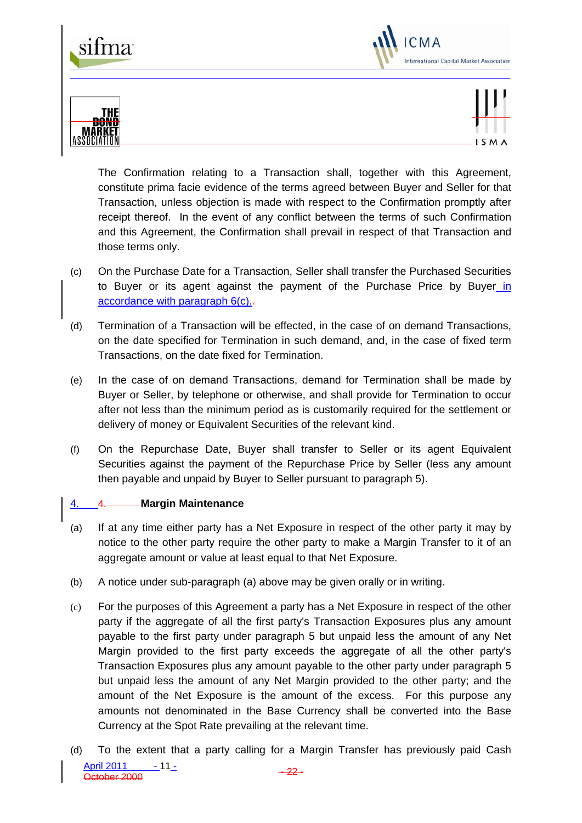

The Confirmation relating to a Transaction shall, together with this Agreement, constitute prima facie evidence of the terms agreed between Buyer and Seller for that Transaction, unless objection is made with respect to the Confirmation promptly after receipt thereof. In the event of any conflict between the terms of such Confirmation and this Agreement, the Confirmation shall prevail in respect of that Transaction and those terms only.

- (c) On the Purchase Date for a Transaction, Seller shall transfer the Purchased Securities to Buyer or its agent against the payment of the Purchase Price by Buyer in accordance with paragraph 6(c).-
- (d) Termination of a Transaction will be effected, in the case of on demand Transactions, on the date specified for Termination in such demand, and, in the case of fixed term Transactions, on the date fixed for Termination.
- (e) In the case of on demand Transactions, demand for Termination shall be made by Buyer or Seller, by telephone or otherwise, and shall provide for Termination to occur after not less than the minimum period as is customarily required for the settlement or delivery of money or Equivalent Securities of the relevant kind.
- (f) On the Repurchase Date, Buyer shall transfer to Seller or its agent Equivalent Securities against the payment of the Repurchase Price by Seller (less any amount then payable and unpaid by Buyer to Seller pursuant to paragraph 5).

## 4. 4. **Margin Maintenance**

- (a) If at any time either party has a Net Exposure in respect of the other party it may by notice to the other party require the other party to make a Margin Transfer to it of an aggregate amount or value at least equal to that Net Exposure.
- (b) A notice under sub-paragraph (a) above may be given orally or in writing.
- (c) For the purposes of this Agreement a party has a Net Exposure in respect of the other party if the aggregate of all the first party's Transaction Exposures plus any amount payable to the first party under paragraph 5 but unpaid less the amount of any Net Margin provided to the first party exceeds the aggregate of all the other party's Transaction Exposures plus any amount payable to the other party under paragraph 5 but unpaid less the amount of any Net Margin provided to the other party; and the amount of the Net Exposure is the amount of the excess. For this purpose any amounts not denominated in the Base Currency shall be converted into the Base Currency at the Spot Rate prevailing at the relevant time.
- April 2011 11 -<u>October 2000</u> - 1 - 22 - 22 - 22 - 22 - 22 - 22 - 23 - 22 - 23 - 22 - 23 - 22 - 23 - 23 - 23 - 23 - 23 - 23 - 23 - 23 - 23 - 23 - 23 - 23 - 23 - 23 - 23 - 23 - 23 - 23 - 23 - 23 - 23 - 23 - 23 - 23 - 23 - 23 - 23 - 23 - 2 (d) To the extent that a party calling for a Margin Transfer has previously paid Cash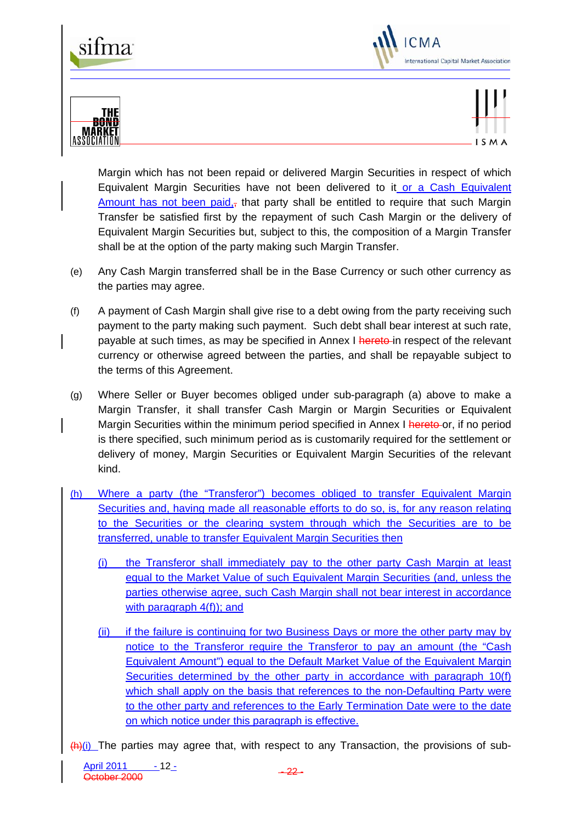

Margin which has not been repaid or delivered Margin Securities in respect of which Equivalent Margin Securities have not been delivered to it or a Cash Equivalent Amount has not been paid,, that party shall be entitled to require that such Margin Transfer be satisfied first by the repayment of such Cash Margin or the delivery of Equivalent Margin Securities but, subject to this, the composition of a Margin Transfer shall be at the option of the party making such Margin Transfer.

- (e) Any Cash Margin transferred shall be in the Base Currency or such other currency as the parties may agree.
- (f) A payment of Cash Margin shall give rise to a debt owing from the party receiving such payment to the party making such payment. Such debt shall bear interest at such rate, payable at such times, as may be specified in Annex I hereto in respect of the relevant currency or otherwise agreed between the parties, and shall be repayable subject to the terms of this Agreement.
- (g) Where Seller or Buyer becomes obliged under sub-paragraph (a) above to make a Margin Transfer, it shall transfer Cash Margin or Margin Securities or Equivalent Margin Securities within the minimum period specified in Annex I hereto-or, if no period is there specified, such minimum period as is customarily required for the settlement or delivery of money, Margin Securities or Equivalent Margin Securities of the relevant kind.
- (h) Where a party (the "Transferor") becomes obliged to transfer Equivalent Margin Securities and, having made all reasonable efforts to do so, is, for any reason relating to the Securities or the clearing system through which the Securities are to be transferred, unable to transfer Equivalent Margin Securities then
	- (i) the Transferor shall immediately pay to the other party Cash Margin at least equal to the Market Value of such Equivalent Margin Securities (and, unless the parties otherwise agree, such Cash Margin shall not bear interest in accordance with paragraph 4(f)); and
	- (ii) if the failure is continuing for two Business Days or more the other party may by notice to the Transferor require the Transferor to pay an amount (the "Cash Equivalent Amount") equal to the Default Market Value of the Equivalent Margin Securities determined by the other party in accordance with paragraph 10(f) which shall apply on the basis that references to the non-Defaulting Party were to the other party and references to the Early Termination Date were to the date on which notice under this paragraph is effective.

 $(h)(i)$  The parties may agree that, with respect to any Transaction, the provisions of sub-

April 2011 - 12 -October 2000 - <sup>22</sup> -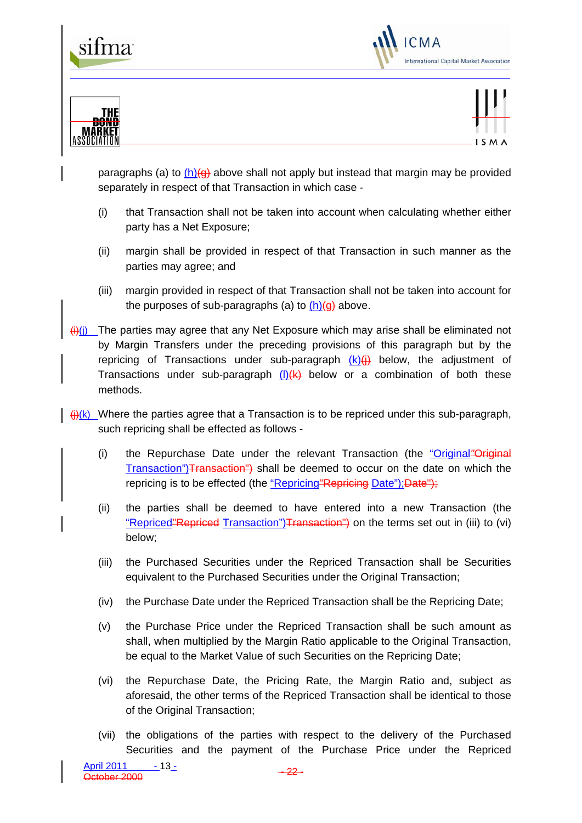



S M A



paragraphs (a) to  $(h)(q)$  above shall not apply but instead that margin may be provided separately in respect of that Transaction in which case -

- (i) that Transaction shall not be taken into account when calculating whether either party has a Net Exposure;
- (ii) margin shall be provided in respect of that Transaction in such manner as the parties may agree; and
- (iii) margin provided in respect of that Transaction shall not be taken into account for the purposes of sub-paragraphs (a) to  $(h)(g)$  above.
- $\frac{f(x)}{g(x)}$  The parties may agree that any Net Exposure which may arise shall be eliminated not by Margin Transfers under the preceding provisions of this paragraph but by the repricing of Transactions under sub-paragraph  $(k)(i)$  below, the adjustment of Transactions under sub-paragraph  $(l)(k)$  below or a combination of both these methods.
- $\frac{f(x)}{g(x)}$  Where the parties agree that a Transaction is to be repriced under this sub-paragraph, such repricing shall be effected as follows -
	- (i) the Repurchase Date under the relevant Transaction (the "Original*"*Original Transaction")Transaction") shall be deemed to occur on the date on which the repricing is to be effected (the "Repricing" Repricing Date"); Date");
	- (ii) the parties shall be deemed to have entered into a new Transaction (the "Repriced"Repriced Transaction")Transaction") on the terms set out in (iii) to (vi) below;
	- (iii) the Purchased Securities under the Repriced Transaction shall be Securities equivalent to the Purchased Securities under the Original Transaction;
	- (iv) the Purchase Date under the Repriced Transaction shall be the Repricing Date;
	- (v) the Purchase Price under the Repriced Transaction shall be such amount as shall, when multiplied by the Margin Ratio applicable to the Original Transaction, be equal to the Market Value of such Securities on the Repricing Date;
	- (vi) the Repurchase Date, the Pricing Rate, the Margin Ratio and, subject as aforesaid, the other terms of the Repriced Transaction shall be identical to those of the Original Transaction;
	- (vii) the obligations of the parties with respect to the delivery of the Purchased Securities and the payment of the Purchase Price under the Repriced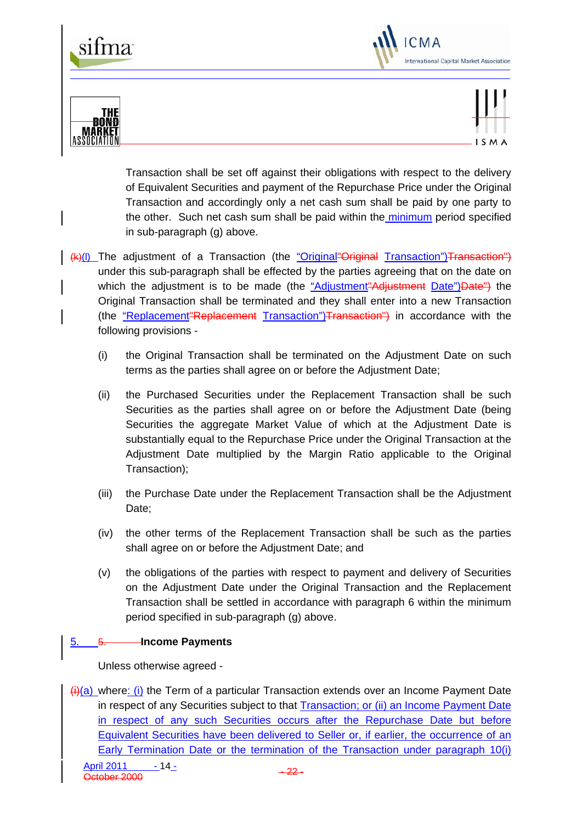

Transaction shall be set off against their obligations with respect to the delivery of Equivalent Securities and payment of the Repurchase Price under the Original Transaction and accordingly only a net cash sum shall be paid by one party to the other. Such net cash sum shall be paid within the minimum period specified in sub-paragraph (g) above.

- $(k)(i)$  The adjustment of a Transaction (the "Original" Original Transaction") Transaction") under this sub-paragraph shall be effected by the parties agreeing that on the date on which the adjustment is to be made (the "Adjustment"Adjustment Date") Date") the Original Transaction shall be terminated and they shall enter into a new Transaction (the "Replacement"Replacement Transaction")Transaction") in accordance with the following provisions -
	- (i) the Original Transaction shall be terminated on the Adjustment Date on such terms as the parties shall agree on or before the Adjustment Date;
	- (ii) the Purchased Securities under the Replacement Transaction shall be such Securities as the parties shall agree on or before the Adjustment Date (being Securities the aggregate Market Value of which at the Adjustment Date is substantially equal to the Repurchase Price under the Original Transaction at the Adjustment Date multiplied by the Margin Ratio applicable to the Original Transaction);
	- (iii) the Purchase Date under the Replacement Transaction shall be the Adjustment Date;
	- (iv) the other terms of the Replacement Transaction shall be such as the parties shall agree on or before the Adjustment Date; and
	- (v) the obligations of the parties with respect to payment and delivery of Securities on the Adjustment Date under the Original Transaction and the Replacement Transaction shall be settled in accordance with paragraph 6 within the minimum period specified in sub-paragraph (g) above.

## 5. 5. **Income Payments**

Unless otherwise agreed -

April 2011 - 14 -October 2000 - <sup>22</sup> -  $\frac{f(x)}{g(x)}$  where: (i) the Term of a particular Transaction extends over an Income Payment Date in respect of any Securities subject to that Transaction; or (ii) an Income Payment Date in respect of any such Securities occurs after the Repurchase Date but before Equivalent Securities have been delivered to Seller or, if earlier, the occurrence of an Early Termination Date or the termination of the Transaction under paragraph 10(i)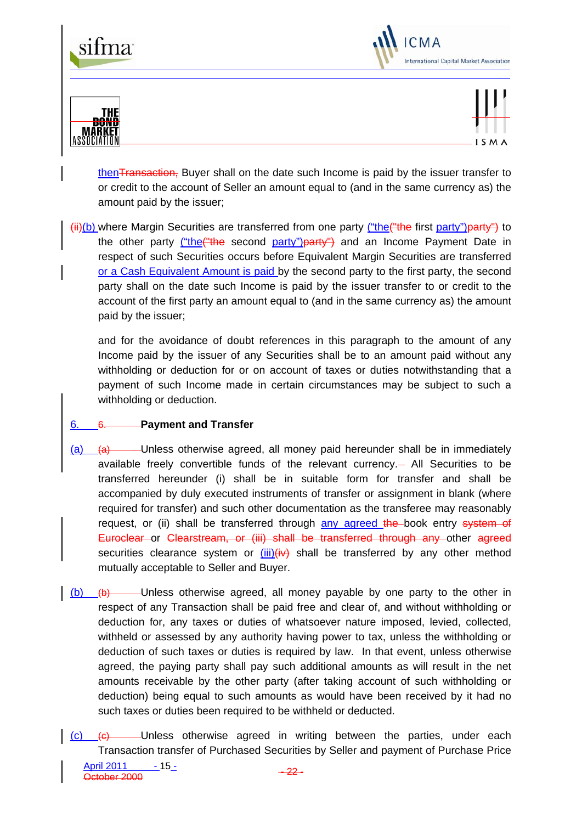

then Transaction, Buyer shall on the date such Income is paid by the issuer transfer to or credit to the account of Seller an amount equal to (and in the same currency as) the amount paid by the issuer;

 $\overline{\text{iii}}$ (b) where Margin Securities are transferred from one party ("the "the first party")party") to the other party "the ("the second party") party") and an Income Payment Date in respect of such Securities occurs before Equivalent Margin Securities are transferred or a Cash Equivalent Amount is paid by the second party to the first party, the second party shall on the date such Income is paid by the issuer transfer to or credit to the account of the first party an amount equal to (and in the same currency as) the amount paid by the issuer;

and for the avoidance of doubt references in this paragraph to the amount of any Income paid by the issuer of any Securities shall be to an amount paid without any withholding or deduction for or on account of taxes or duties notwithstanding that a payment of such Income made in certain circumstances may be subject to such a withholding or deduction.

## 6. 6. **Payment and Transfer**

- (a) (a) Unless otherwise agreed, all money paid hereunder shall be in immediately available freely convertible funds of the relevant currency. All Securities to be transferred hereunder (i) shall be in suitable form for transfer and shall be accompanied by duly executed instruments of transfer or assignment in blank (where required for transfer) and such other documentation as the transferee may reasonably request, or (ii) shall be transferred through any agreed the book entry system of Euroclear or Clearstream, or (iii) shall be transferred through any other agreed securities clearance system or  $(iii)(iv)$  shall be transferred by any other method mutually acceptable to Seller and Buyer.
- (b)  $(b)$   $(b)$  Unless otherwise agreed, all money payable by one party to the other in respect of any Transaction shall be paid free and clear of, and without withholding or deduction for, any taxes or duties of whatsoever nature imposed, levied, collected, withheld or assessed by any authority having power to tax, unless the withholding or deduction of such taxes or duties is required by law. In that event, unless otherwise agreed, the paying party shall pay such additional amounts as will result in the net amounts receivable by the other party (after taking account of such withholding or deduction) being equal to such amounts as would have been received by it had no such taxes or duties been required to be withheld or deducted.
- $(c)$   $(e)$  Unless otherwise agreed in writing between the parties, under each Transaction transfer of Purchased Securities by Seller and payment of Purchase Price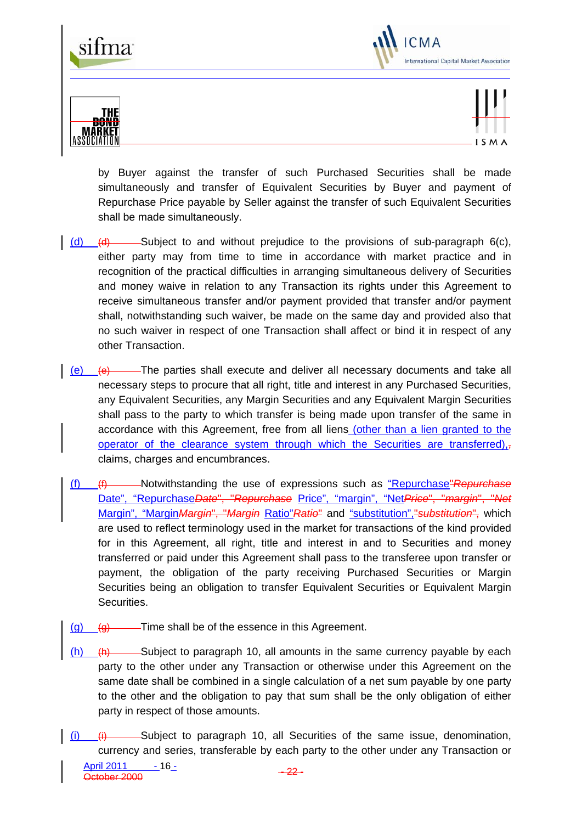

by Buyer against the transfer of such Purchased Securities shall be made simultaneously and transfer of Equivalent Securities by Buyer and payment of Repurchase Price payable by Seller against the transfer of such Equivalent Securities shall be made simultaneously.

- (d)  $(d)$   $(d)$   $\longrightarrow$  Subject to and without prejudice to the provisions of sub-paragraph 6(c), either party may from time to time in accordance with market practice and in recognition of the practical difficulties in arranging simultaneous delivery of Securities and money waive in relation to any Transaction its rights under this Agreement to receive simultaneous transfer and/or payment provided that transfer and/or payment shall, notwithstanding such waiver, be made on the same day and provided also that no such waiver in respect of one Transaction shall affect or bind it in respect of any other Transaction.
- (e) (e) The parties shall execute and deliver all necessary documents and take all necessary steps to procure that all right, title and interest in any Purchased Securities, any Equivalent Securities, any Margin Securities and any Equivalent Margin Securities shall pass to the party to which transfer is being made upon transfer of the same in accordance with this Agreement, free from all liens (other than a lien granted to the operator of the clearance system through which the Securities are transferred). claims, charges and encumbrances.
- (f) (f) Notwithstanding the use of expressions such as "Repurchase"*Repurchase* Date", "Repurchase*Date*", "*Repurchase* Price", "margin", "Net*Price*", "*margin*", "*Net* Margin", "Margin*Margin*", "*Margin* Ratio"*Ratio*" and "substitution","*substitution*", which are used to reflect terminology used in the market for transactions of the kind provided for in this Agreement, all right, title and interest in and to Securities and money transferred or paid under this Agreement shall pass to the transferee upon transfer or payment, the obligation of the party receiving Purchased Securities or Margin Securities being an obligation to transfer Equivalent Securities or Equivalent Margin Securities.
- $(q)$  (g)  $\left( q \right)$  Time shall be of the essence in this Agreement.
- $(h)$   $(h)$   $\longrightarrow$  Subject to paragraph 10, all amounts in the same currency payable by each party to the other under any Transaction or otherwise under this Agreement on the same date shall be combined in a single calculation of a net sum payable by one party to the other and the obligation to pay that sum shall be the only obligation of either party in respect of those amounts.
- $(i)$   $(i)$   $(i)$  Subject to paragraph 10, all Securities of the same issue, denomination, currency and series, transferable by each party to the other under any Transaction or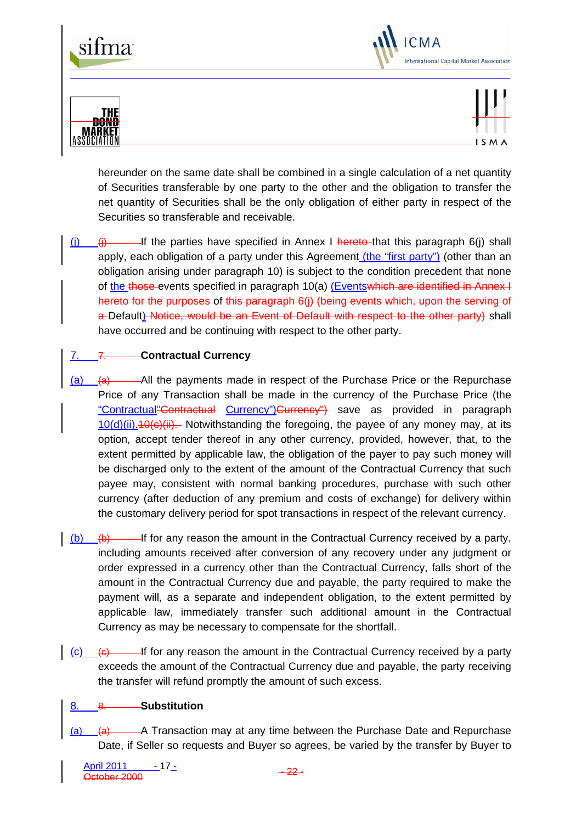

hereunder on the same date shall be combined in a single calculation of a net quantity of Securities transferable by one party to the other and the obligation to transfer the net quantity of Securities shall be the only obligation of either party in respect of the Securities so transferable and receivable.

(i)  $\left(i\right)$   $\left(i\right)$  If the parties have specified in Annex I hereto that this paragraph 6(i) shall apply, each obligation of a party under this Agreement (the "first party") (other than an obligation arising under paragraph 10) is subject to the condition precedent that none of the those events specified in paragraph 10(a) (Eventswhich are identified in Annex I hereto for the purposes of this paragraph 6(j) (being events which, upon the serving of a Default) Notice, would be an Event of Default with respect to the other party) shall have occurred and be continuing with respect to the other party.

# 7. 7. **Contractual Currency**

- (a)  $(a)$   $(a)$  All the payments made in respect of the Purchase Price or the Repurchase Price of any Transaction shall be made in the currency of the Purchase Price (the "Contractual"Contractual Currency")Currency") save as provided in paragraph  $10(d)(ii).4Q( $\theta$ ))$ . Notwithstanding the foregoing, the payee of any money may, at its option, accept tender thereof in any other currency, provided, however, that, to the extent permitted by applicable law, the obligation of the payer to pay such money will be discharged only to the extent of the amount of the Contractual Currency that such payee may, consistent with normal banking procedures, purchase with such other currency (after deduction of any premium and costs of exchange) for delivery within the customary delivery period for spot transactions in respect of the relevant currency.
- $(b)$  (b)  $(b)$  If for any reason the amount in the Contractual Currency received by a party, including amounts received after conversion of any recovery under any judgment or order expressed in a currency other than the Contractual Currency, falls short of the amount in the Contractual Currency due and payable, the party required to make the payment will, as a separate and independent obligation, to the extent permitted by applicable law, immediately transfer such additional amount in the Contractual Currency as may be necessary to compensate for the shortfall.
- $(c)$   $(e)$  If for any reason the amount in the Contractual Currency received by a party exceeds the amount of the Contractual Currency due and payable, the party receiving the transfer will refund promptly the amount of such excess.

## 8. 8. **Substitution**

(a)  $(a)$   $(a)$  A Transaction may at any time between the Purchase Date and Repurchase Date, if Seller so requests and Buyer so agrees, be varied by the transfer by Buyer to

April 2011 - 17 -October 2000 - <sup>22</sup> -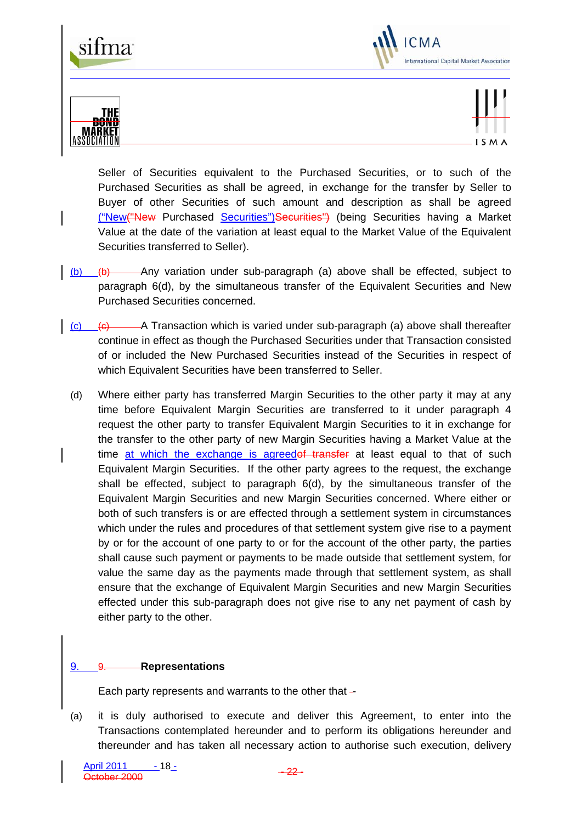

Seller of Securities equivalent to the Purchased Securities, or to such of the Purchased Securities as shall be agreed, in exchange for the transfer by Seller to Buyer of other Securities of such amount and description as shall be agreed ("New<del>("New</del> Purchased Securities")Securities") (being Securities having a Market Value at the date of the variation at least equal to the Market Value of the Equivalent Securities transferred to Seller).

- (b)  $(b)$   $(b)$   $\longrightarrow$  Any variation under sub-paragraph (a) above shall be effected, subject to paragraph 6(d), by the simultaneous transfer of the Equivalent Securities and New Purchased Securities concerned.
- (c)  $(e)$   $(e)$  A Transaction which is varied under sub-paragraph (a) above shall thereafter continue in effect as though the Purchased Securities under that Transaction consisted of or included the New Purchased Securities instead of the Securities in respect of which Equivalent Securities have been transferred to Seller.
- (d) Where either party has transferred Margin Securities to the other party it may at any time before Equivalent Margin Securities are transferred to it under paragraph 4 request the other party to transfer Equivalent Margin Securities to it in exchange for the transfer to the other party of new Margin Securities having a Market Value at the time at which the exchange is agreedof transfer at least equal to that of such Equivalent Margin Securities. If the other party agrees to the request, the exchange shall be effected, subject to paragraph 6(d), by the simultaneous transfer of the Equivalent Margin Securities and new Margin Securities concerned. Where either or both of such transfers is or are effected through a settlement system in circumstances which under the rules and procedures of that settlement system give rise to a payment by or for the account of one party to or for the account of the other party, the parties shall cause such payment or payments to be made outside that settlement system, for value the same day as the payments made through that settlement system, as shall ensure that the exchange of Equivalent Margin Securities and new Margin Securities effected under this sub-paragraph does not give rise to any net payment of cash by either party to the other.

## 9. 9. **Representations**

Each party represents and warrants to the other that -

(a) it is duly authorised to execute and deliver this Agreement, to enter into the Transactions contemplated hereunder and to perform its obligations hereunder and thereunder and has taken all necessary action to authorise such execution, delivery

April 2011 - 18 -October 2000 - <sup>22</sup> -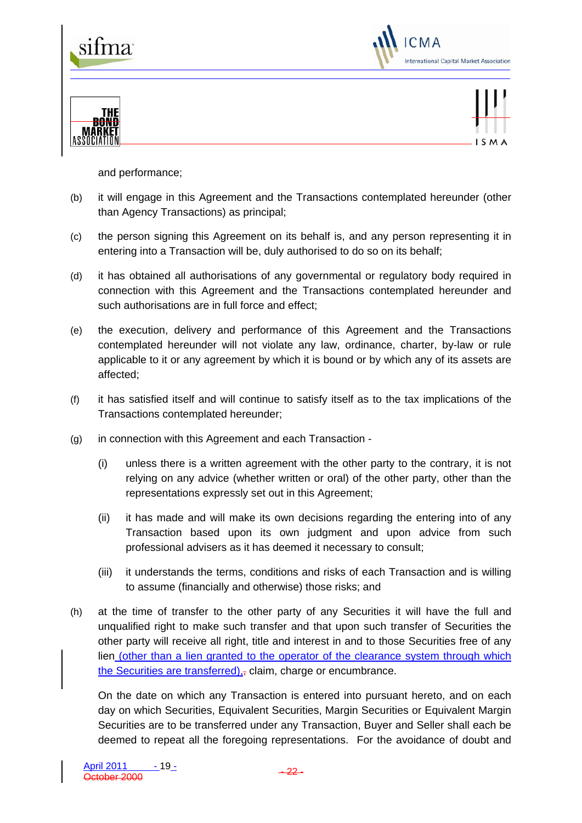







and performance;

- (b) it will engage in this Agreement and the Transactions contemplated hereunder (other than Agency Transactions) as principal;
- (c) the person signing this Agreement on its behalf is, and any person representing it in entering into a Transaction will be, duly authorised to do so on its behalf;
- (d) it has obtained all authorisations of any governmental or regulatory body required in connection with this Agreement and the Transactions contemplated hereunder and such authorisations are in full force and effect;
- (e) the execution, delivery and performance of this Agreement and the Transactions contemplated hereunder will not violate any law, ordinance, charter, by-law or rule applicable to it or any agreement by which it is bound or by which any of its assets are affected;
- (f) it has satisfied itself and will continue to satisfy itself as to the tax implications of the Transactions contemplated hereunder;
- (g) in connection with this Agreement and each Transaction
	- (i) unless there is a written agreement with the other party to the contrary, it is not relying on any advice (whether written or oral) of the other party, other than the representations expressly set out in this Agreement;
	- (ii) it has made and will make its own decisions regarding the entering into of any Transaction based upon its own judgment and upon advice from such professional advisers as it has deemed it necessary to consult;
	- (iii) it understands the terms, conditions and risks of each Transaction and is willing to assume (financially and otherwise) those risks; and
- (h) at the time of transfer to the other party of any Securities it will have the full and unqualified right to make such transfer and that upon such transfer of Securities the other party will receive all right, title and interest in and to those Securities free of any lien (other than a lien granted to the operator of the clearance system through which the Securities are transferred), $\tau$  claim, charge or encumbrance.

On the date on which any Transaction is entered into pursuant hereto, and on each day on which Securities, Equivalent Securities, Margin Securities or Equivalent Margin Securities are to be transferred under any Transaction, Buyer and Seller shall each be deemed to repeat all the foregoing representations. For the avoidance of doubt and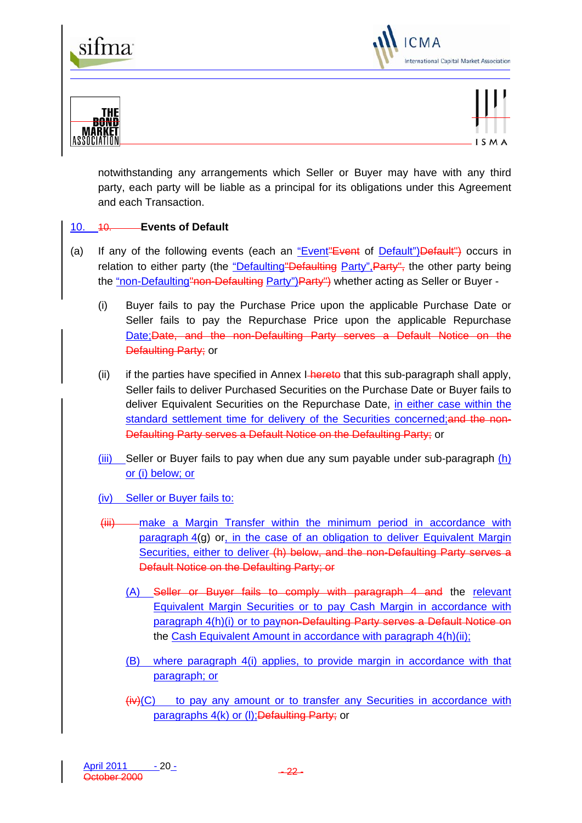

notwithstanding any arrangements which Seller or Buyer may have with any third party, each party will be liable as a principal for its obligations under this Agreement and each Transaction.

## 10. 10. **Events of Default**

- (a) If any of the following events (each an "Event"Event of Default") Default") occurs in relation to either party (the "Defaulting" Defaulting Party", Party", the other party being the "non-Defaulting" non-Defaulting Party") Party") whether acting as Seller or Buyer -
	- (i) Buyer fails to pay the Purchase Price upon the applicable Purchase Date or Seller fails to pay the Repurchase Price upon the applicable Repurchase Date; Date, and the non-Defaulting Party serves a Default Notice on the **Defaulting Party; or**
	- (ii) if the parties have specified in Annex I-hereto that this sub-paragraph shall apply, Seller fails to deliver Purchased Securities on the Purchase Date or Buyer fails to deliver Equivalent Securities on the Repurchase Date, in either case within the standard settlement time for delivery of the Securities concerned; and the non-Defaulting Party serves a Default Notice on the Defaulting Party; or
	- $(iii)$  Seller or Buyer fails to pay when due any sum payable under sub-paragraph  $(h)$ or (i) below; or
	- (iv) Seller or Buyer fails to:
	- (iii) make a Margin Transfer within the minimum period in accordance with paragraph 4(g) or, in the case of an obligation to deliver Equivalent Margin Securities, either to deliver (h) below, and the non-Defaulting Party serves a Default Notice on the Defaulting Party; or
		- (A) Seller or Buyer fails to comply with paragraph 4 and the relevant Equivalent Margin Securities or to pay Cash Margin in accordance with paragraph 4(h)(i) or to paynon-Defaulting Party serves a Default Notice on the Cash Equivalent Amount in accordance with paragraph 4(h)(ii);
		- (B) where paragraph 4(i) applies, to provide margin in accordance with that paragraph; or
		- $(iv)(C)$  to pay any amount or to transfer any Securities in accordance with paragraphs 4(k) or (l);Defaulting Party; or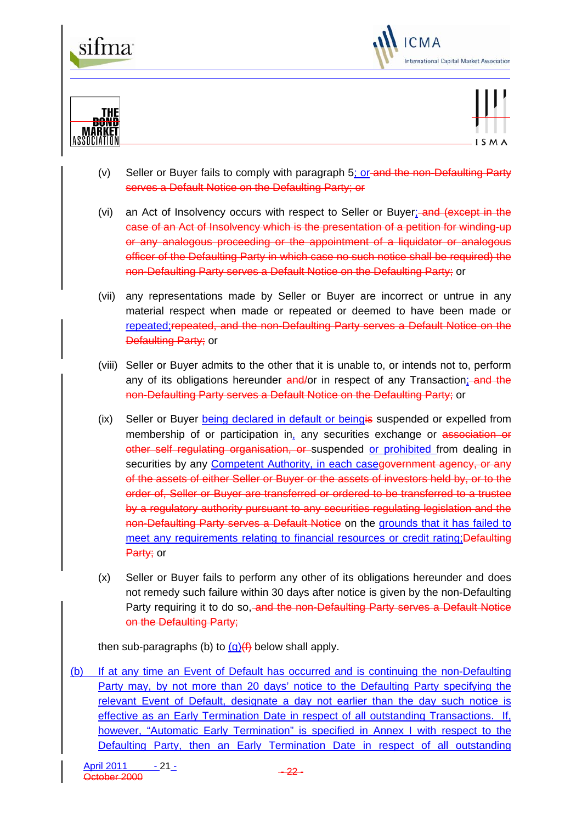

<del>BON'</del> MARKEI **ASSOCIATION** 





- (v) Seller or Buyer fails to comply with paragraph 5; or and the non-Defaulting Party serves a Default Notice on the Defaulting Party; or
- (vi) an Act of Insolvency occurs with respect to Seller or Buyer; and (except in the case of an Act of Insolvency which is the presentation of a petition for winding-up or any analogous proceeding or the appointment of a liquidator or analogous officer of the Defaulting Party in which case no such notice shall be required) the non-Defaulting Party serves a Default Notice on the Defaulting Party; or
- (vii) any representations made by Seller or Buyer are incorrect or untrue in any material respect when made or repeated or deemed to have been made or repeated;repeated, and the non-Defaulting Party serves a Default Notice on the **Defaulting Party; or**
- (viii) Seller or Buyer admits to the other that it is unable to, or intends not to, perform any of its obligations hereunder and/or in respect of any Transaction; and the non-Defaulting Party serves a Default Notice on the Defaulting Party; or
- (ix) Seller or Buyer being declared in default or beingis suspended or expelled from membership of or participation in, any securities exchange or association or other self regulating organisation, or suspended or prohibited from dealing in securities by any Competent Authority, in each casegovernment agency, or any of the assets of either Seller or Buyer or the assets of investors held by, or to the order of, Seller or Buyer are transferred or ordered to be transferred to a trustee by a regulatory authority pursuant to any securities regulating legislation and the non-Defaulting Party serves a Default Notice on the grounds that it has failed to meet any requirements relating to financial resources or credit rating; Defaulting Party; or
- (x) Seller or Buyer fails to perform any other of its obligations hereunder and does not remedy such failure within 30 days after notice is given by the non-Defaulting Party requiring it to do so, and the non-Defaulting Party serves a Default Notice on the Defaulting Party;

then sub-paragraphs (b) to  $(q)$ (f) below shall apply.

(b) If at any time an Event of Default has occurred and is continuing the non-Defaulting Party may, by not more than 20 days' notice to the Defaulting Party specifying the relevant Event of Default, designate a day not earlier than the day such notice is effective as an Early Termination Date in respect of all outstanding Transactions. If, however, "Automatic Early Termination" is specified in Annex I with respect to the Defaulting Party, then an Early Termination Date in respect of all outstanding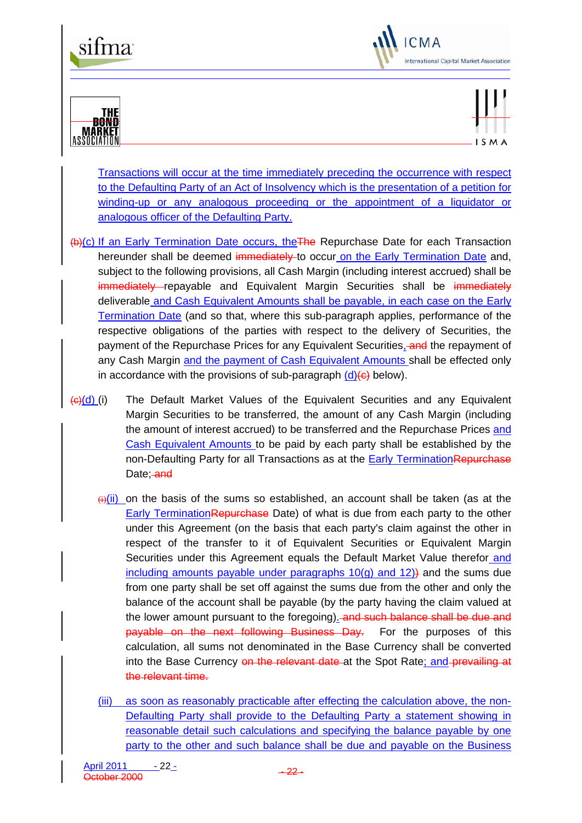

ISMA

Transactions will occur at the time immediately preceding the occurrence with respect to the Defaulting Party of an Act of Insolvency which is the presentation of a petition for winding-up or any analogous proceeding or the appointment of a liquidator or analogous officer of the Defaulting Party.

- (b)(c) If an Early Termination Date occurs, theThe Repurchase Date for each Transaction hereunder shall be deemed immediately to occur on the Early Termination Date and, subject to the following provisions, all Cash Margin (including interest accrued) shall be immediately repayable and Equivalent Margin Securities shall be immediately deliverable and Cash Equivalent Amounts shall be payable, in each case on the Early Termination Date (and so that, where this sub-paragraph applies, performance of the respective obligations of the parties with respect to the delivery of Securities, the payment of the Repurchase Prices for any Equivalent Securities, and the repayment of any Cash Margin and the payment of Cash Equivalent Amounts shall be effected only in accordance with the provisions of sub-paragraph  $(d)$  (c) below).
- $\frac{1}{(c)}$ (d) (i) The Default Market Values of the Equivalent Securities and any Equivalent Margin Securities to be transferred, the amount of any Cash Margin (including the amount of interest accrued) to be transferred and the Repurchase Prices and Cash Equivalent Amounts to be paid by each party shall be established by the non-Defaulting Party for all Transactions as at the **Early Termination Repurchase** Date; and
	- $\bigoplus$  (ii) on the basis of the sums so established, an account shall be taken (as at the **Early Termination Repurchase Date)** of what is due from each party to the other under this Agreement (on the basis that each party's claim against the other in respect of the transfer to it of Equivalent Securities or Equivalent Margin Securities under this Agreement equals the Default Market Value therefor and including amounts payable under paragraphs  $10(q)$  and  $12$ )) and the sums due from one party shall be set off against the sums due from the other and only the balance of the account shall be payable (by the party having the claim valued at the lower amount pursuant to the foregoing). and such balance shall be due and payable on the next following Business Day. For the purposes of this calculation, all sums not denominated in the Base Currency shall be converted into the Base Currency on the relevant date at the Spot Rate; and prevailing at the relevant time.
	- (iii) as soon as reasonably practicable after effecting the calculation above, the non-Defaulting Party shall provide to the Defaulting Party a statement showing in reasonable detail such calculations and specifying the balance payable by one party to the other and such balance shall be due and payable on the Business

**ASSOCIATION**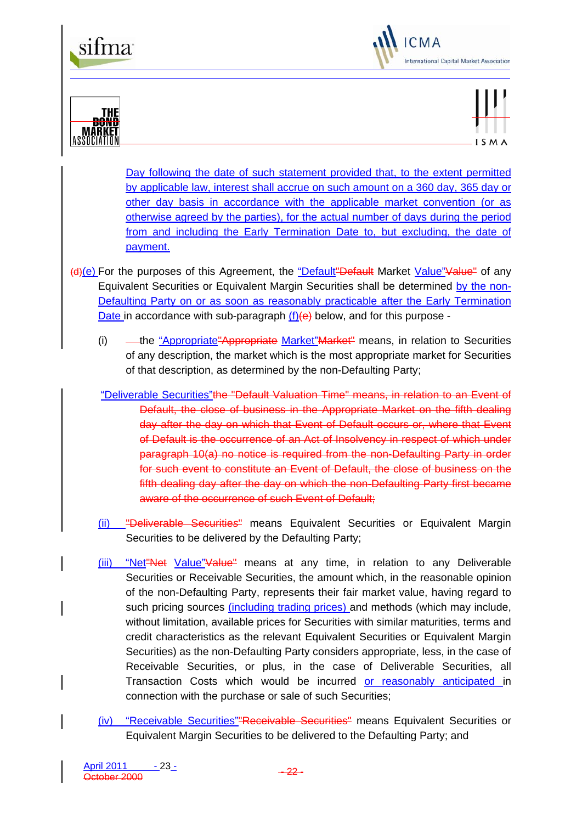

<del>BON'</del> **MARK ASSOCIATION** 





Day following the date of such statement provided that, to the extent permitted by applicable law, interest shall accrue on such amount on a 360 day, 365 day or other day basis in accordance with the applicable market convention (or as otherwise agreed by the parties), for the actual number of days during the period from and including the Early Termination Date to, but excluding, the date of payment.

- $(d)(e)$  For the purposes of this Agreement, the "Default<del>"Default</del> Market Value" Value" of any Equivalent Securities or Equivalent Margin Securities shall be determined by the non-Defaulting Party on or as soon as reasonably practicable after the Early Termination Date in accordance with sub-paragraph  $(f)(e)$  below, and for this purpose -
	- (i)  $-$  the "Appropriate"Appropriate Market" $M$ arket" means, in relation to Securities of any description, the market which is the most appropriate market for Securities of that description, as determined by the non-Defaulting Party;
	- "Deliverable Securities"the "Default Valuation Time" means, in relation to an Event of Default, the close of business in the Appropriate Market on the fifth dealing day after the day on which that Event of Default occurs or, where that Event of Default is the occurrence of an Act of Insolvency in respect of which under paragraph 10(a) no notice is required from the non-Defaulting Party in order for such event to constitute an Event of Default, the close of business on the fifth dealing day after the day on which the non-Defaulting Party first became aware of the occurrence of such Event of Default;
	- (ii) "Deliverable Securitie*s*" means Equivalent Securities or Equivalent Margin Securities to be delivered by the Defaulting Party;
	- (iii) "Net<del>"Net</del> Value"<del>Value"</del> means at any time, in relation to any Deliverable Securities or Receivable Securities, the amount which, in the reasonable opinion of the non-Defaulting Party, represents their fair market value, having regard to such pricing sources (including trading prices) and methods (which may include, without limitation, available prices for Securities with similar maturities, terms and credit characteristics as the relevant Equivalent Securities or Equivalent Margin Securities) as the non-Defaulting Party considers appropriate, less, in the case of Receivable Securities, or plus, in the case of Deliverable Securities, all Transaction Costs which would be incurred or reasonably anticipated in connection with the purchase or sale of such Securities;
	- (iv) "Receivable Securities""Receivable Securities" means Equivalent Securities or Equivalent Margin Securities to be delivered to the Defaulting Party; and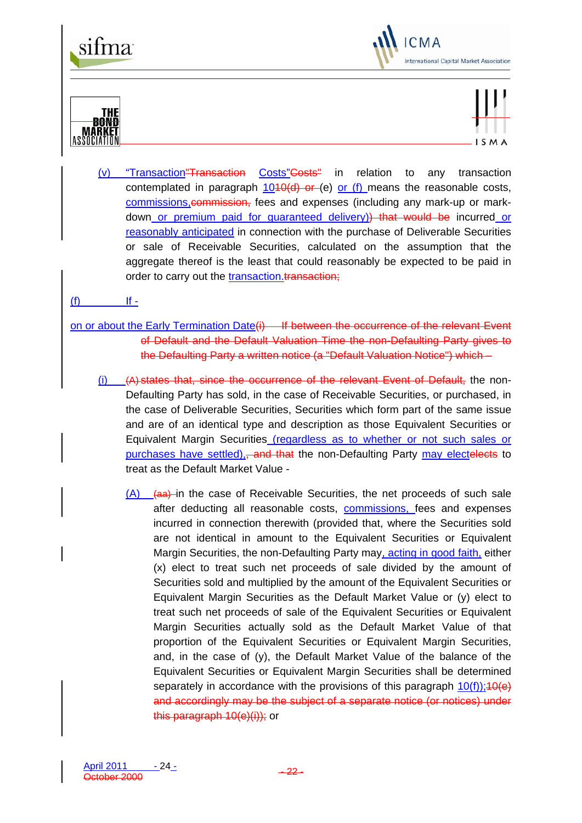

- (v) "Transaction"Transaction Costs"Costs" in relation to any transaction contemplated in paragraph  $1040(d)$  or (e) or (f) means the reasonable costs, commissions,commission, fees and expenses (including any mark-up or markdown or premium paid for guaranteed delivery)) that would be incurred or reasonably anticipated in connection with the purchase of Deliverable Securities or sale of Receivable Securities, calculated on the assumption that the aggregate thereof is the least that could reasonably be expected to be paid in order to carry out the transaction. transaction;
- $(f)$  If -
- on or about the Early Termination Date(i) If between the occurrence of the relevant Event of Default and the Default Valuation Time the non-Defaulting Party gives to the Defaulting Party a written notice (a "Default Valuation Notice") which –
	- (i) (A) states that, since the occurrence of the relevant Event of Default, the non-Defaulting Party has sold, in the case of Receivable Securities, or purchased, in the case of Deliverable Securities, Securities which form part of the same issue and are of an identical type and description as those Equivalent Securities or Equivalent Margin Securities (regardless as to whether or not such sales or purchases have settled),, and that the non-Defaulting Party may electelects to treat as the Default Market Value -
		- $(A)$   $(Aa)$ -in the case of Receivable Securities, the net proceeds of such sale after deducting all reasonable costs, commissions, fees and expenses incurred in connection therewith (provided that, where the Securities sold are not identical in amount to the Equivalent Securities or Equivalent Margin Securities, the non-Defaulting Party may, acting in good faith, either (x) elect to treat such net proceeds of sale divided by the amount of Securities sold and multiplied by the amount of the Equivalent Securities or Equivalent Margin Securities as the Default Market Value or (y) elect to treat such net proceeds of sale of the Equivalent Securities or Equivalent Margin Securities actually sold as the Default Market Value of that proportion of the Equivalent Securities or Equivalent Margin Securities, and, in the case of (y), the Default Market Value of the balance of the Equivalent Securities or Equivalent Margin Securities shall be determined separately in accordance with the provisions of this paragraph  $10(f)$ ;  $10(e)$ and accordingly may be the subject of a separate notice (or notices) under this paragraph  $10(e)(i)$ ; or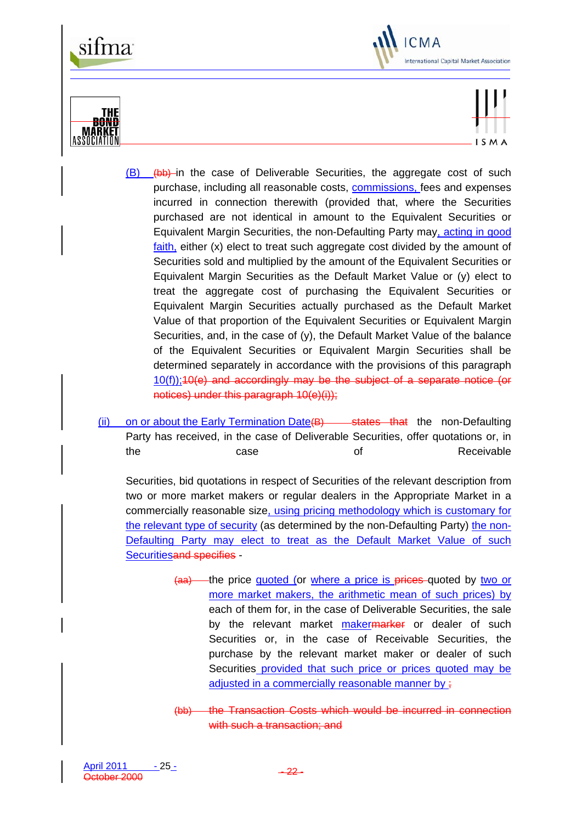

- (B) (bb) in the case of Deliverable Securities, the aggregate cost of such purchase, including all reasonable costs, commissions, fees and expenses incurred in connection therewith (provided that, where the Securities purchased are not identical in amount to the Equivalent Securities or Equivalent Margin Securities, the non-Defaulting Party may, acting in good faith, either (x) elect to treat such aggregate cost divided by the amount of Securities sold and multiplied by the amount of the Equivalent Securities or Equivalent Margin Securities as the Default Market Value or (y) elect to treat the aggregate cost of purchasing the Equivalent Securities or Equivalent Margin Securities actually purchased as the Default Market Value of that proportion of the Equivalent Securities or Equivalent Margin Securities, and, in the case of (y), the Default Market Value of the balance of the Equivalent Securities or Equivalent Margin Securities shall be determined separately in accordance with the provisions of this paragraph 10(f));10(e) and accordingly may be the subject of a separate notice (or notices) under this paragraph  $10(e)(i)$ ;
- (ii) on or about the Early Termination Date(B) states that the non-Defaulting Party has received, in the case of Deliverable Securities, offer quotations or, in the case case of Receivable

Securities, bid quotations in respect of Securities of the relevant description from two or more market makers or regular dealers in the Appropriate Market in a commercially reasonable size, using pricing methodology which is customary for the relevant type of security (as determined by the non-Defaulting Party) the non-Defaulting Party may elect to treat as the Default Market Value of such Securitiesand specifies -

- (aa) the price quoted (or where a price is prices quoted by two or more market makers, the arithmetic mean of such prices) by each of them for, in the case of Deliverable Securities, the sale by the relevant market makermarker or dealer of such Securities or, in the case of Receivable Securities, the purchase by the relevant market maker or dealer of such Securities provided that such price or prices quoted may be adjusted in a commercially reasonable manner by ;
- the Transaction Costs which would be incurred in connection with such a transaction; and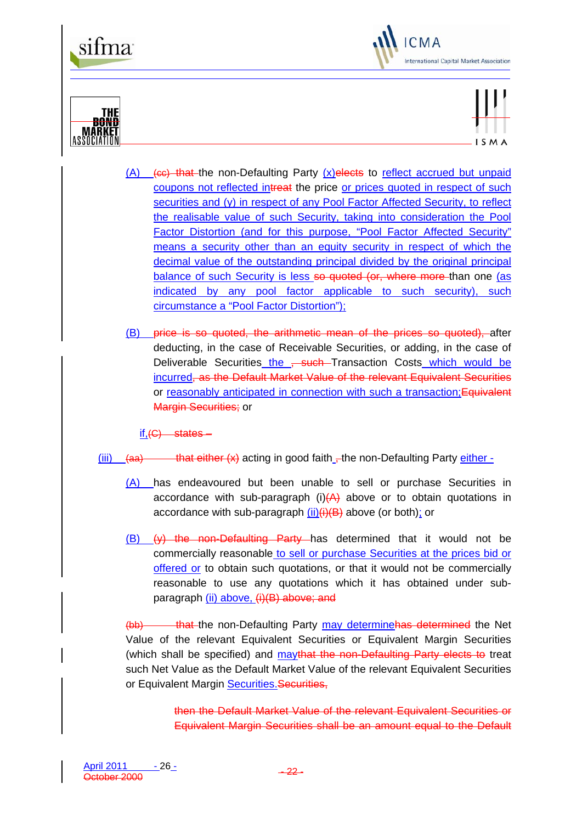

- (A)  $\left( \text{ce} \right)$  that the non-Defaulting Party (x)elects to reflect accrued but unpaid coupons not reflected intreat the price or prices quoted in respect of such securities and (y) in respect of any Pool Factor Affected Security, to reflect the realisable value of such Security, taking into consideration the Pool Factor Distortion (and for this purpose, "Pool Factor Affected Security" means a security other than an equity security in respect of which the decimal value of the outstanding principal divided by the original principal balance of such Security is less so quoted (or, where more than one (as indicated by any pool factor applicable to such security), such circumstance a "Pool Factor Distortion");
- (B) price is so quoted, the arithmetic mean of the prices so quoted), after deducting, in the case of Receivable Securities, or adding, in the case of Deliverable Securities the <del>, such</del>-Transaction Costs which would be incurred, as the Default Market Value of the relevant Equivalent Securities or reasonably anticipated in connection with such a transaction; Equivalent Margin Securities; or

 $if.$  (C)  $-$  states  $-$ 

## (iii)  $\theta$  (aa) that either  $(x)$  acting in good faith , the non-Defaulting Party either -

- (A) has endeavoured but been unable to sell or purchase Securities in accordance with sub-paragraph  $(i)$ (A) above or to obtain quotations in accordance with sub-paragraph  $(ii)(ii)(B)$  above (or both); or
- $(B)$  (y) the non-Defaulting Party has determined that it would not be commercially reasonable to sell or purchase Securities at the prices bid or offered or to obtain such quotations, or that it would not be commercially reasonable to use any quotations which it has obtained under subparagraph (ii) above, (i)(B) above; and

that the non-Defaulting Party may determinehas determined the Net Value of the relevant Equivalent Securities or Equivalent Margin Securities (which shall be specified) and maythat the non-Defaulting Party elects to treat such Net Value as the Default Market Value of the relevant Equivalent Securities or Equivalent Margin Securities. Securities,

> then the Default Market Value of the relevant Equivalent Securities or Equivalent Margin Securities shall be an amount equal to the Default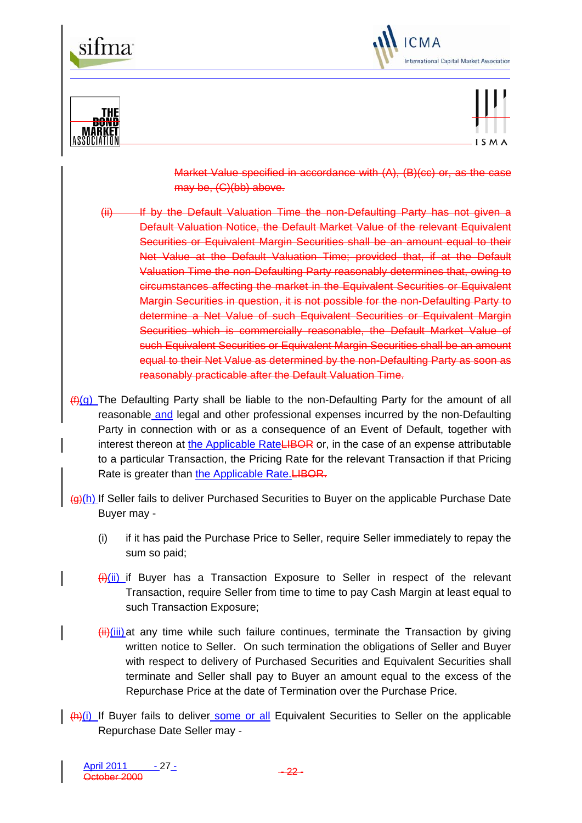

**MARI** ASSOCIATIOI





Market Value specified in accordance with (A), (B)(cc) or, as the case may be, (C)(bb) above.

(ii) If by the Default Valuation Time the non-Defaulting Party has not given a Default Valuation Notice, the Default Market Value of the relevant Equivalent Securities or Equivalent Margin Securities shall be an amount equal to their Net Value at the Default Valuation Time; provided that, if at the Default Valuation Time the non-Defaulting Party reasonably determines that, owing to circumstances affecting the market in the Equivalent Securities or Equivalent Margin Securities in question, it is not possible for the non-Defaulting Party to determine a Net Value of such Equivalent Securities or Equivalent Margin Securities which is commercially reasonable, the Default Market Value of such Equivalent Securities or Equivalent Margin Securities shall be an amount equal to their Net Value as determined by the non-Defaulting Party as soon as reasonably practicable after the Default Valuation Time.

 $(f)(g)$  The Defaulting Party shall be liable to the non-Defaulting Party for the amount of all reasonable and legal and other professional expenses incurred by the non-Defaulting Party in connection with or as a consequence of an Event of Default, together with interest thereon at the Applicable RateLIBOR or, in the case of an expense attributable to a particular Transaction, the Pricing Rate for the relevant Transaction if that Pricing Rate is greater than the Applicable Rate. LIBOR.

(g)(h) If Seller fails to deliver Purchased Securities to Buyer on the applicable Purchase Date Buyer may -

- (i) if it has paid the Purchase Price to Seller, require Seller immediately to repay the sum so paid;
- $\frac{f(x)}{f(x)}$  if Buyer has a Transaction Exposure to Seller in respect of the relevant Transaction, require Seller from time to time to pay Cash Margin at least equal to such Transaction Exposure;
- $\overline{\text{iii}}$ (iii) at any time while such failure continues, terminate the Transaction by giving written notice to Seller. On such termination the obligations of Seller and Buyer with respect to delivery of Purchased Securities and Equivalent Securities shall terminate and Seller shall pay to Buyer an amount equal to the excess of the Repurchase Price at the date of Termination over the Purchase Price.
- $\frac{f(h)(i)}{i}$  If Buyer fails to deliver some or all Equivalent Securities to Seller on the applicable Repurchase Date Seller may -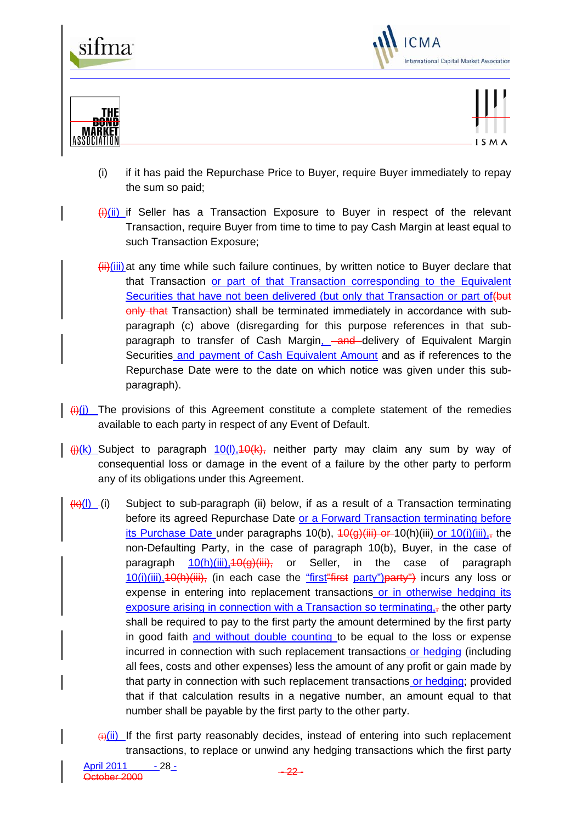

- (i) if it has paid the Repurchase Price to Buyer, require Buyer immediately to repay the sum so paid;
- $\overline{H}$ (ii) if Seller has a Transaction Exposure to Buyer in respect of the relevant Transaction, require Buyer from time to time to pay Cash Margin at least equal to such Transaction Exposure;
- $\left(\frac{iii}{ii}\right)$  at any time while such failure continues, by written notice to Buyer declare that that Transaction or part of that Transaction corresponding to the Equivalent Securities that have not been delivered (but only that Transaction or part of (but only that Transaction) shall be terminated immediately in accordance with subparagraph (c) above (disregarding for this purpose references in that subparagraph to transfer of Cash Margin, <del>and d</del>elivery of Equivalent Margin Securities and payment of Cash Equivalent Amount and as if references to the Repurchase Date were to the date on which notice was given under this subparagraph).
- $\frac{f(\mathbf{i})}{f(\mathbf{i})}$  The provisions of this Agreement constitute a complete statement of the remedies available to each party in respect of any Event of Default.
- $\frac{f(x)}{f(x)}$  Subject to paragraph  $\frac{10(1)}{10(1)}$ , 10(k), neither party may claim any sum by way of consequential loss or damage in the event of a failure by the other party to perform any of its obligations under this Agreement.
- $\frac{f(x)}{f(x)}$  (i) Subject to sub-paragraph (ii) below, if as a result of a Transaction terminating before its agreed Repurchase Date or a Forward Transaction terminating before its Purchase Date under paragraphs 10(b),  $4\Theta(g)(iii)$  or 10(h)(iii) or 10(i)(iii), the non-Defaulting Party, in the case of paragraph 10(b), Buyer, in the case of paragraph 10(h)(iii), 10(g)(iii), or Seller, in the case of paragraph  $10(i)(iii), 10(h)(iii),$  (in each case the "first" first party") party" incurs any loss or expense in entering into replacement transactions or in otherwise hedging its exposure arising in connection with a Transaction so terminating, $\tau$  the other party shall be required to pay to the first party the amount determined by the first party in good faith and without double counting to be equal to the loss or expense incurred in connection with such replacement transactions or hedging (including all fees, costs and other expenses) less the amount of any profit or gain made by that party in connection with such replacement transactions or hedging; provided that if that calculation results in a negative number, an amount equal to that number shall be payable by the first party to the other party.
	- $\Theta$ (ii) If the first party reasonably decides, instead of entering into such replacement transactions, to replace or unwind any hedging transactions which the first party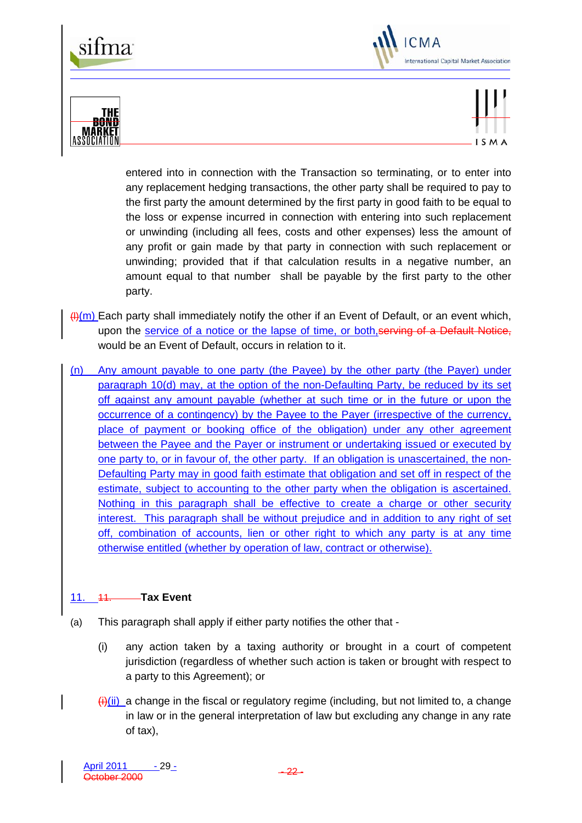

entered into in connection with the Transaction so terminating, or to enter into any replacement hedging transactions, the other party shall be required to pay to the first party the amount determined by the first party in good faith to be equal to the loss or expense incurred in connection with entering into such replacement or unwinding (including all fees, costs and other expenses) less the amount of any profit or gain made by that party in connection with such replacement or unwinding; provided that if that calculation results in a negative number, an amount equal to that number shall be payable by the first party to the other party.

- $\frac{\mu}{\mu}(m)$  Each party shall immediately notify the other if an Event of Default, or an event which, upon the service of a notice or the lapse of time, or both, serving of a Default Notice, would be an Event of Default, occurs in relation to it.
- (n) Any amount payable to one party (the Payee) by the other party (the Payer) under paragraph 10(d) may, at the option of the non-Defaulting Party, be reduced by its set off against any amount payable (whether at such time or in the future or upon the occurrence of a contingency) by the Payee to the Payer (irrespective of the currency, place of payment or booking office of the obligation) under any other agreement between the Payee and the Payer or instrument or undertaking issued or executed by one party to, or in favour of, the other party. If an obligation is unascertained, the non-Defaulting Party may in good faith estimate that obligation and set off in respect of the estimate, subject to accounting to the other party when the obligation is ascertained. Nothing in this paragraph shall be effective to create a charge or other security interest. This paragraph shall be without prejudice and in addition to any right of set off, combination of accounts, lien or other right to which any party is at any time otherwise entitled (whether by operation of law, contract or otherwise).

## 11. 11. **Tax Event**

- (a) This paragraph shall apply if either party notifies the other that
	- (i) any action taken by a taxing authority or brought in a court of competent jurisdiction (regardless of whether such action is taken or brought with respect to a party to this Agreement); or
	- $\frac{f(x)}{f(x)}$  a change in the fiscal or regulatory regime (including, but not limited to, a change in law or in the general interpretation of law but excluding any change in any rate of tax),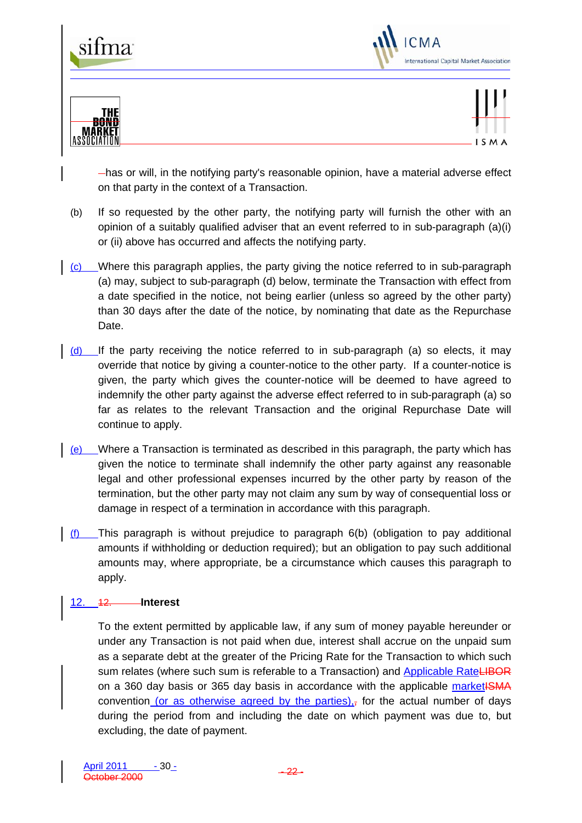

|ASSOCIATIC





has or will, in the notifying party's reasonable opinion, have a material adverse effect on that party in the context of a Transaction.

- (b) If so requested by the other party, the notifying party will furnish the other with an opinion of a suitably qualified adviser that an event referred to in sub-paragraph (a)(i) or (ii) above has occurred and affects the notifying party.
- (c) Where this paragraph applies, the party giving the notice referred to in sub-paragraph (a) may, subject to sub-paragraph (d) below, terminate the Transaction with effect from a date specified in the notice, not being earlier (unless so agreed by the other party) than 30 days after the date of the notice, by nominating that date as the Repurchase Date.
- (d) If the party receiving the notice referred to in sub-paragraph (a) so elects, it may override that notice by giving a counter-notice to the other party. If a counter-notice is given, the party which gives the counter-notice will be deemed to have agreed to indemnify the other party against the adverse effect referred to in sub-paragraph (a) so far as relates to the relevant Transaction and the original Repurchase Date will continue to apply.
- (e) Where a Transaction is terminated as described in this paragraph, the party which has given the notice to terminate shall indemnify the other party against any reasonable legal and other professional expenses incurred by the other party by reason of the termination, but the other party may not claim any sum by way of consequential loss or damage in respect of a termination in accordance with this paragraph.
- $(f)$  This paragraph is without prejudice to paragraph  $6(b)$  (obligation to pay additional amounts if withholding or deduction required); but an obligation to pay such additional amounts may, where appropriate, be a circumstance which causes this paragraph to apply.

## 12. 12. **Interest**

To the extent permitted by applicable law, if any sum of money payable hereunder or under any Transaction is not paid when due, interest shall accrue on the unpaid sum as a separate debt at the greater of the Pricing Rate for the Transaction to which such sum relates (where such sum is referable to a Transaction) and Applicable RateLIBOR on a 360 day basis or 365 day basis in accordance with the applicable marketISMA convention (or as otherwise agreed by the parties) $,$  for the actual number of days during the period from and including the date on which payment was due to, but excluding, the date of payment.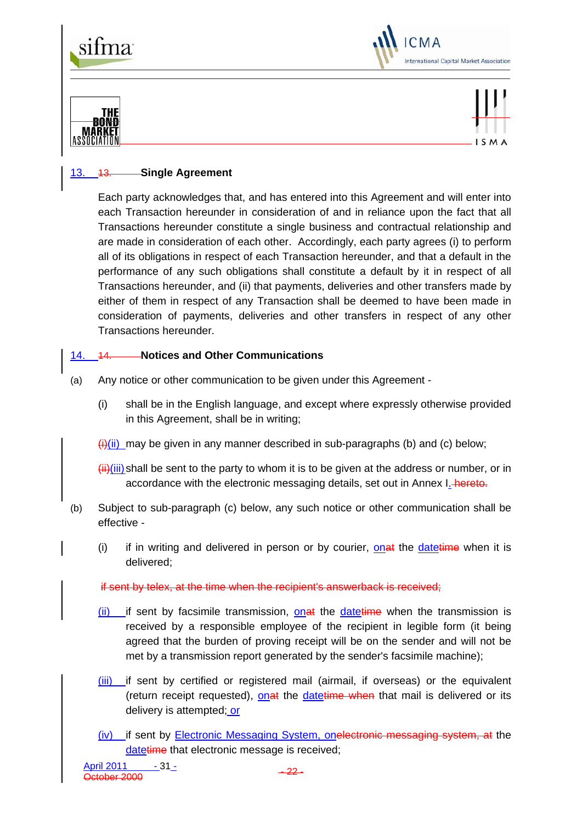

## 13. 13. **Single Agreement**

Each party acknowledges that, and has entered into this Agreement and will enter into each Transaction hereunder in consideration of and in reliance upon the fact that all Transactions hereunder constitute a single business and contractual relationship and are made in consideration of each other. Accordingly, each party agrees (i) to perform all of its obligations in respect of each Transaction hereunder, and that a default in the performance of any such obligations shall constitute a default by it in respect of all Transactions hereunder, and (ii) that payments, deliveries and other transfers made by either of them in respect of any Transaction shall be deemed to have been made in consideration of payments, deliveries and other transfers in respect of any other Transactions hereunder.

## 14. 14. **Notices and Other Communications**

- (a) Any notice or other communication to be given under this Agreement
	- (i) shall be in the English language, and except where expressly otherwise provided in this Agreement, shall be in writing;

 $(H)$ (ii) may be given in any manner described in sub-paragraphs (b) and (c) below;

 $\overline{\text{iii}}$ (iii) shall be sent to the party to whom it is to be given at the address or number, or in accordance with the electronic messaging details, set out in Annex I. hereto.

- (b) Subject to sub-paragraph (c) below, any such notice or other communication shall be effective -
	- (i) if in writing and delivered in person or by courier, onat the datetime when it is delivered;

if sent by telex, at the time when the recipient's answerback is received;

- $(i)$  if sent by facsimile transmission, onat the datetime when the transmission is received by a responsible employee of the recipient in legible form (it being agreed that the burden of proving receipt will be on the sender and will not be met by a transmission report generated by the sender's facsimile machine);
- (iii) if sent by certified or registered mail (airmail, if overseas) or the equivalent (return receipt requested), onat the datetime when that mail is delivered or its delivery is attempted; or
- (iv) if sent by Electronic Messaging System, onelectronic messaging system, at the datetime that electronic message is received;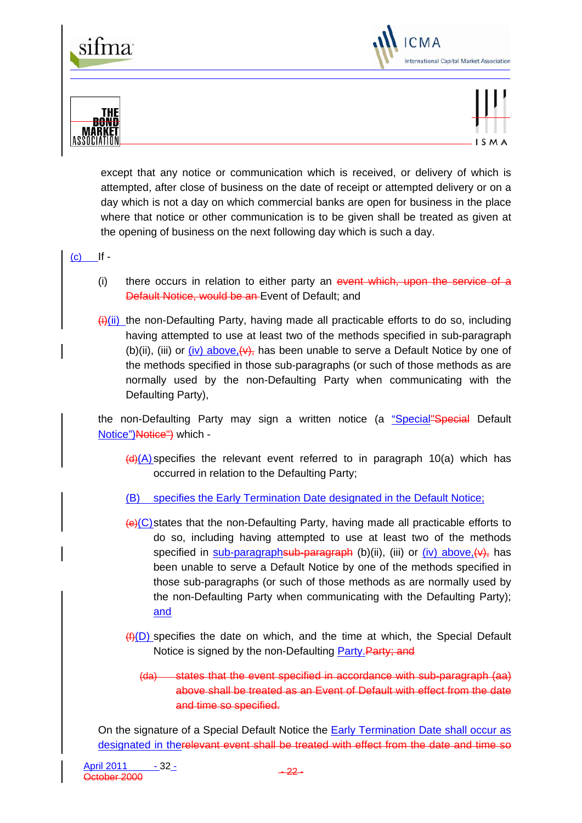

except that any notice or communication which is received, or delivery of which is attempted, after close of business on the date of receipt or attempted delivery or on a day which is not a day on which commercial banks are open for business in the place where that notice or other communication is to be given shall be treated as given at the opening of business on the next following day which is such a day.

 $(c)$  If -

- (i) there occurs in relation to either party an event which, upon the service of a Default Notice, would be an Event of Default; and
- $\left(\frac{H}{H}\right)$  the non-Defaulting Party, having made all practicable efforts to do so, including having attempted to use at least two of the methods specified in sub-paragraph (b)(ii), (iii) or (iv) above,  $\langle \psi \rangle$ , has been unable to serve a Default Notice by one of the methods specified in those sub-paragraphs (or such of those methods as are normally used by the non-Defaulting Party when communicating with the Defaulting Party),

the non-Defaulting Party may sign a written notice (a "Special"Special Default Notice") Notice") which -

 $\left(\frac{d}{d}\right)$  specifies the relevant event referred to in paragraph 10(a) which has occurred in relation to the Defaulting Party;

(B) specifies the Early Termination Date designated in the Default Notice;

- $\left\langle \Theta \right\rangle$  (C) states that the non-Defaulting Party, having made all practicable efforts to do so, including having attempted to use at least two of the methods specified in sub-paragraphsub-paragraph (b)(ii), (iii) or (iv) above,  $\forall$ ), has been unable to serve a Default Notice by one of the methods specified in those sub-paragraphs (or such of those methods as are normally used by the non-Defaulting Party when communicating with the Defaulting Party); and
- $(f(A)(D))$  specifies the date on which, and the time at which, the Special Default Notice is signed by the non-Defaulting **Party. Party; and** 
	- (da) states that the event specified in accordance with sub-paragraph (aa) above shall be treated as an Event of Default with effect from the date and time so specified.

On the signature of a Special Default Notice the Early Termination Date shall occur as designated in therelevant event shall be treated with effect from the date and time so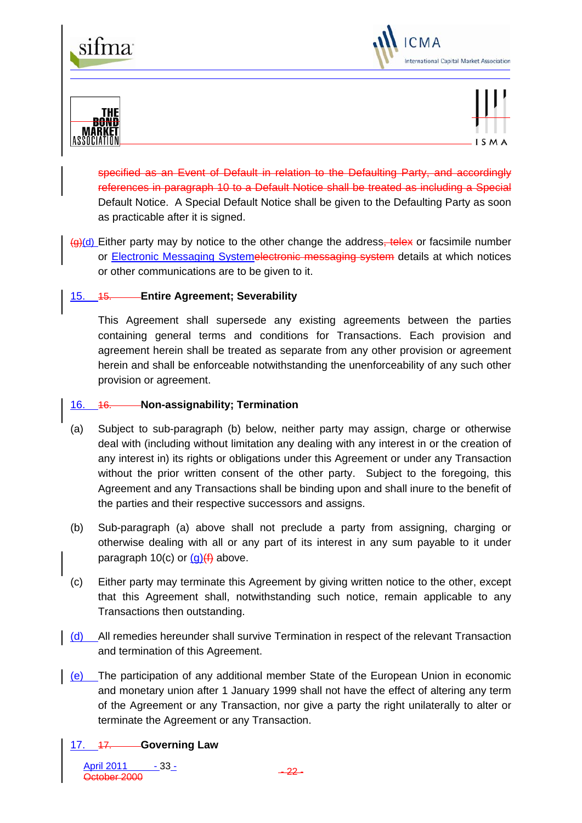

specified as an Event of Default in relation to the Defaulting Party, and accordingly references in paragraph 10 to a Default Notice shall be treated as including a Special Default Notice. A Special Default Notice shall be given to the Defaulting Party as soon as practicable after it is signed.

 $\left(\frac{d}{dt}\right)$  Either party may by notice to the other change the address, telex or facsimile number or Electronic Messaging Systemelectronic messaging system details at which notices or other communications are to be given to it.

## 15. 15. **Entire Agreement; Severability**

This Agreement shall supersede any existing agreements between the parties containing general terms and conditions for Transactions. Each provision and agreement herein shall be treated as separate from any other provision or agreement herein and shall be enforceable notwithstanding the unenforceability of any such other provision or agreement.

#### 16. 16. **Non-assignability; Termination**

- (a) Subject to sub-paragraph (b) below, neither party may assign, charge or otherwise deal with (including without limitation any dealing with any interest in or the creation of any interest in) its rights or obligations under this Agreement or under any Transaction without the prior written consent of the other party. Subject to the foregoing, this Agreement and any Transactions shall be binding upon and shall inure to the benefit of the parties and their respective successors and assigns.
- (b) Sub-paragraph (a) above shall not preclude a party from assigning, charging or otherwise dealing with all or any part of its interest in any sum payable to it under paragraph 10(c) or  $(q)$ (f) above.
- (c) Either party may terminate this Agreement by giving written notice to the other, except that this Agreement shall, notwithstanding such notice, remain applicable to any Transactions then outstanding.
- (d) All remedies hereunder shall survive Termination in respect of the relevant Transaction and termination of this Agreement.
- (e) The participation of any additional member State of the European Union in economic and monetary union after 1 January 1999 shall not have the effect of altering any term of the Agreement or any Transaction, nor give a party the right unilaterally to alter or terminate the Agreement or any Transaction.

## 17. 17. **Governing Law**

April 2011 - 33 -October 2000 - <sup>22</sup> -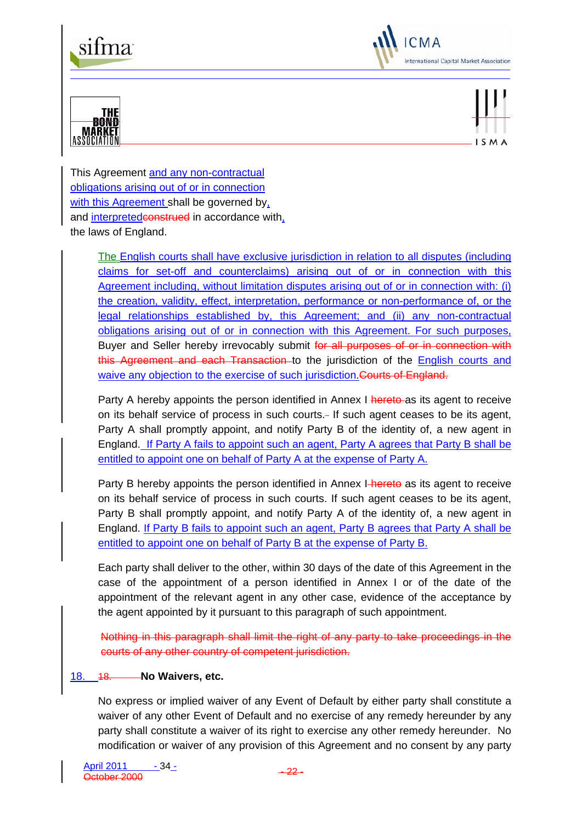







This Agreement and any non-contractual obligations arising out of or in connection with this Agreement shall be governed by, and interpretedconstrued in accordance with, the laws of England.

> The English courts shall have exclusive jurisdiction in relation to all disputes (including claims for set-off and counterclaims) arising out of or in connection with this Agreement including, without limitation disputes arising out of or in connection with: (i) the creation, validity, effect, interpretation, performance or non-performance of, or the legal relationships established by, this Agreement; and (ii) any non-contractual obligations arising out of or in connection with this Agreement. For such purposes, Buyer and Seller hereby irrevocably submit for all purposes of or in connection with this Agreement and each Transaction to the jurisdiction of the English courts and waive any objection to the exercise of such jurisdiction. Courts of England.

> Party A hereby appoints the person identified in Annex I hereto as its agent to receive on its behalf service of process in such courts. If such agent ceases to be its agent, Party A shall promptly appoint, and notify Party B of the identity of, a new agent in England. If Party A fails to appoint such an agent, Party A agrees that Party B shall be entitled to appoint one on behalf of Party A at the expense of Party A.

> Party B hereby appoints the person identified in Annex I hereto as its agent to receive on its behalf service of process in such courts. If such agent ceases to be its agent, Party B shall promptly appoint, and notify Party A of the identity of, a new agent in England. If Party B fails to appoint such an agent, Party B agrees that Party A shall be entitled to appoint one on behalf of Party B at the expense of Party B.

> Each party shall deliver to the other, within 30 days of the date of this Agreement in the case of the appointment of a person identified in Annex I or of the date of the appointment of the relevant agent in any other case, evidence of the acceptance by the agent appointed by it pursuant to this paragraph of such appointment.

> Nothing in this paragraph shall limit the right of any party to take proceedings in the courts of any other country of competent jurisdiction.

## 18. 18. **No Waivers, etc.**

No express or implied waiver of any Event of Default by either party shall constitute a waiver of any other Event of Default and no exercise of any remedy hereunder by any party shall constitute a waiver of its right to exercise any other remedy hereunder. No modification or waiver of any provision of this Agreement and no consent by any party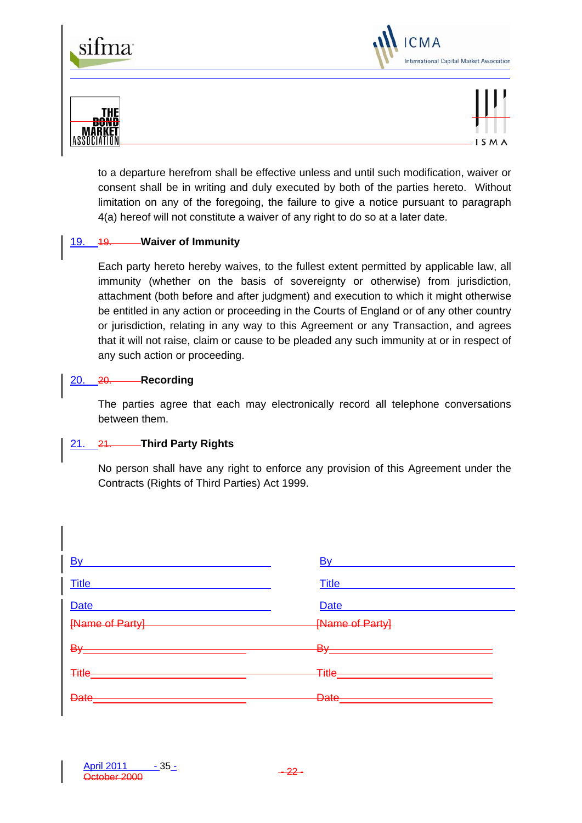

to a departure herefrom shall be effective unless and until such modification, waiver or consent shall be in writing and duly executed by both of the parties hereto. Without limitation on any of the foregoing, the failure to give a notice pursuant to paragraph 4(a) hereof will not constitute a waiver of any right to do so at a later date.

## 19. 19. **Waiver of Immunity**

Each party hereto hereby waives, to the fullest extent permitted by applicable law, all immunity (whether on the basis of sovereignty or otherwise) from jurisdiction, attachment (both before and after judgment) and execution to which it might otherwise be entitled in any action or proceeding in the Courts of England or of any other country or jurisdiction, relating in any way to this Agreement or any Transaction, and agrees that it will not raise, claim or cause to be pleaded any such immunity at or in respect of any such action or proceeding.

#### 20. 20. **Recording**

The parties agree that each may electronically record all telephone conversations between them.

## 21. 21. **Third Party Rights**

No person shall have any right to enforce any provision of this Agreement under the Contracts (Rights of Third Parties) Act 1999.

| By              | By                  |
|-----------------|---------------------|
| <b>Title</b>    | <b>Title</b>        |
| <b>Date</b>     | <b>Date</b>         |
| [Name of Party] | [Name of Party]     |
| Βν              | Bγ                  |
|                 | <del>⊥πισ</del>     |
| <b>Date</b>     | <b>Date</b><br>Duit |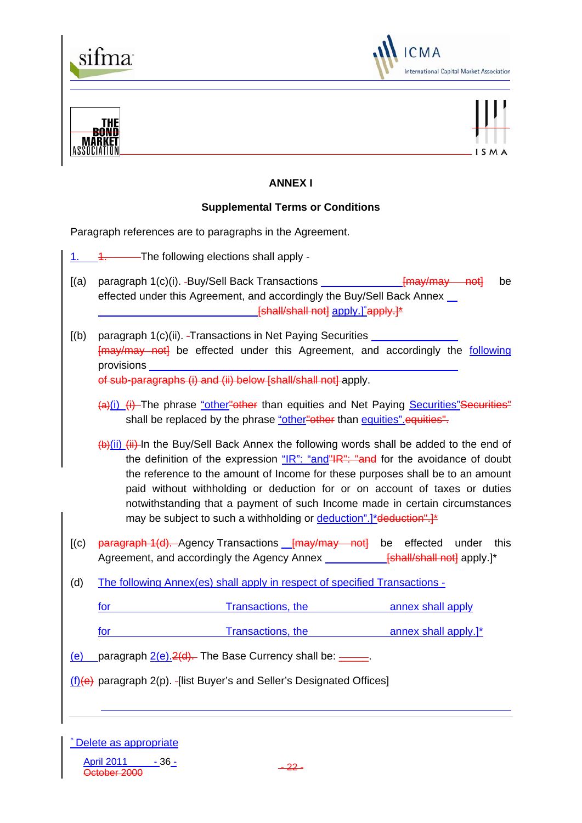

<sup>\*</sup> Delete as appropriate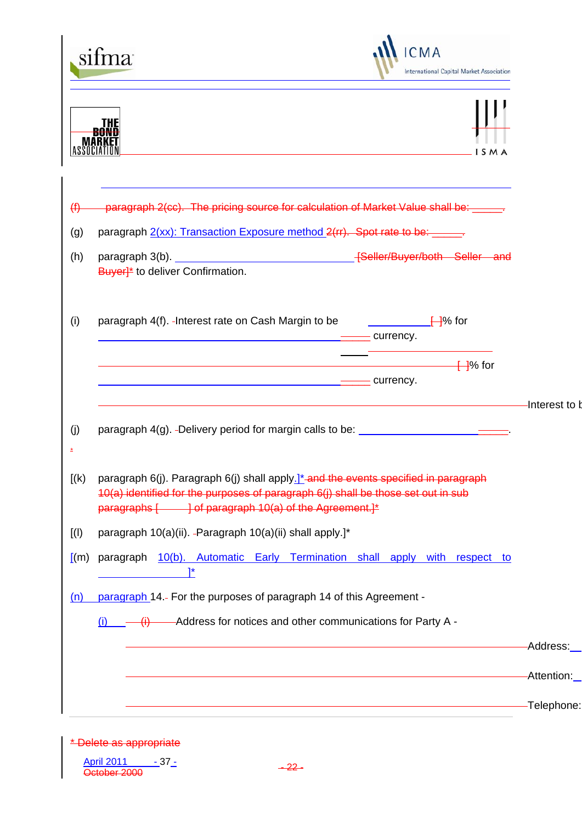|                                        | sifma:<br><b>International Capital Market Association</b>                                                                                                                                                                                        |               |
|----------------------------------------|--------------------------------------------------------------------------------------------------------------------------------------------------------------------------------------------------------------------------------------------------|---------------|
| ASSOCIATIO                             | S M A                                                                                                                                                                                                                                            |               |
| #                                      | paragraph 2(cc). The pricing source for calculation of Market Value shall be: ______.                                                                                                                                                            |               |
| (g)                                    | paragraph 2(xx): Transaction Exposure method 2(rr). Spot rate to be: ______.                                                                                                                                                                     |               |
| (h)                                    | <b>Buyerl*</b> to deliver Confirmation.                                                                                                                                                                                                          |               |
| (i)                                    | paragraph $4(f)$ . -Interest rate on Cash Margin to be $\frac{1}{2}$ $\frac{1}{2}$ for<br>$\pm$ currency.                                                                                                                                        |               |
|                                        | <b>Example 2018</b> Currency.                                                                                                                                                                                                                    |               |
| (j)<br>$\bar{\mathbf{z}}$              | paragraph 4(g). -Delivery period for margin calls to be: _______________________                                                                                                                                                                 | Interest to I |
| [(k)]                                  | paragraph 6(j). Paragraph 6(j) shall apply. <sup>1*</sup> -and the events specified in paragraph<br>10(a) identified for the purposes of paragraph 6(j) shall be those set out in sub<br>paragraphs [ - ] of paragraph 10(a) of the Agreement.]* |               |
| $\left[\left(\mathsf{I}\right)\right]$ | paragraph 10(a)(ii). -Paragraph 10(a)(ii) shall apply.]*                                                                                                                                                                                         |               |
| $\mathbf{I}(\mathsf{m})$               | paragraph 10(b). Automatic Early Termination shall apply with respect to<br>$\mathbf{l}^*$                                                                                                                                                       |               |
| (n)                                    | paragraph 14.- For the purposes of paragraph 14 of this Agreement -                                                                                                                                                                              |               |
|                                        | -Address for notices and other communications for Party A -<br>(i)<br>₩                                                                                                                                                                          |               |
|                                        |                                                                                                                                                                                                                                                  | -Address:     |
|                                        |                                                                                                                                                                                                                                                  | -Attention:_  |
|                                        |                                                                                                                                                                                                                                                  | -Telephone:   |
|                                        |                                                                                                                                                                                                                                                  |               |
|                                        | * Delete as appropriate<br>April 2011 - 37 -<br>-22 -                                                                                                                                                                                            |               |

 $\overline{\phantom{a}}$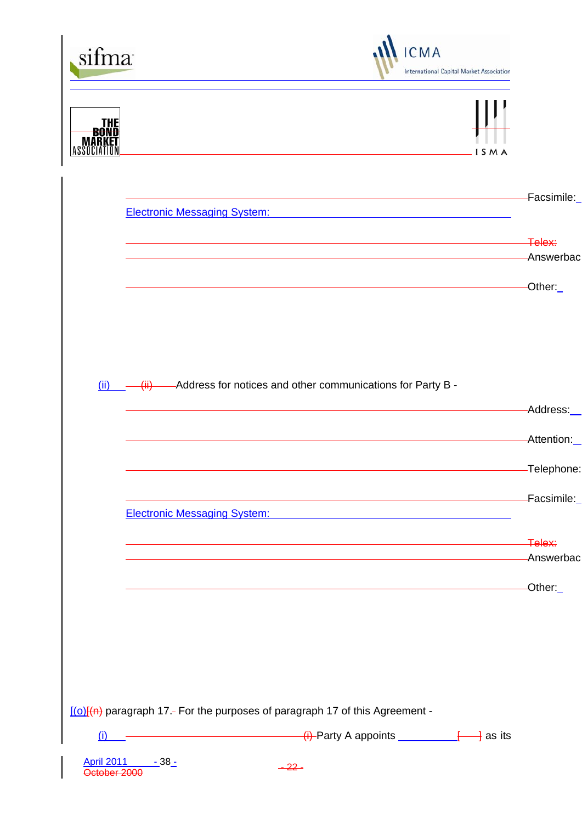| sifma | CMA<br><b>International Capital Market Association</b>                                                                                                                                                                                                                                                                                                 |                            |
|-------|--------------------------------------------------------------------------------------------------------------------------------------------------------------------------------------------------------------------------------------------------------------------------------------------------------------------------------------------------------|----------------------------|
| THE   | ISMA                                                                                                                                                                                                                                                                                                                                                   |                            |
|       | <u> 1989 - Johann Stoff, amerikansk politiker (d. 1989)</u><br>Electronic Messaging System: New York Change and System and System and System and System and System and System and System and System and System and System and System and System and System and System and System and System a                                                          | Facsimile:_                |
|       |                                                                                                                                                                                                                                                                                                                                                        | Telex:<br><b>Answerbac</b> |
|       |                                                                                                                                                                                                                                                                                                                                                        | -Other:                    |
|       |                                                                                                                                                                                                                                                                                                                                                        |                            |
| (ii)  | -Address for notices and other communications for Party B -<br>$\overline{(\mathsf{iii})}$                                                                                                                                                                                                                                                             | -Address:                  |
|       |                                                                                                                                                                                                                                                                                                                                                        | -Attention:                |
|       |                                                                                                                                                                                                                                                                                                                                                        | -Telephone:                |
|       |                                                                                                                                                                                                                                                                                                                                                        |                            |
|       | Electronic Messaging System: Network and System and System and System and System and System and System and System and System and System and System and System and System and System and System and System and System and Syste<br><u> 1989 - Andrea Santa Alemania, amerikana amerikana amerikana amerikana amerikana amerikana amerikana amerikan</u> | Telex:<br>-Answerbac       |
|       |                                                                                                                                                                                                                                                                                                                                                        | -Other:                    |
|       |                                                                                                                                                                                                                                                                                                                                                        |                            |
|       |                                                                                                                                                                                                                                                                                                                                                        |                            |
|       |                                                                                                                                                                                                                                                                                                                                                        |                            |
|       | $\underline{[(o)}[(n)]$ paragraph 17.- For the purposes of paragraph 17 of this Agreement -                                                                                                                                                                                                                                                            |                            |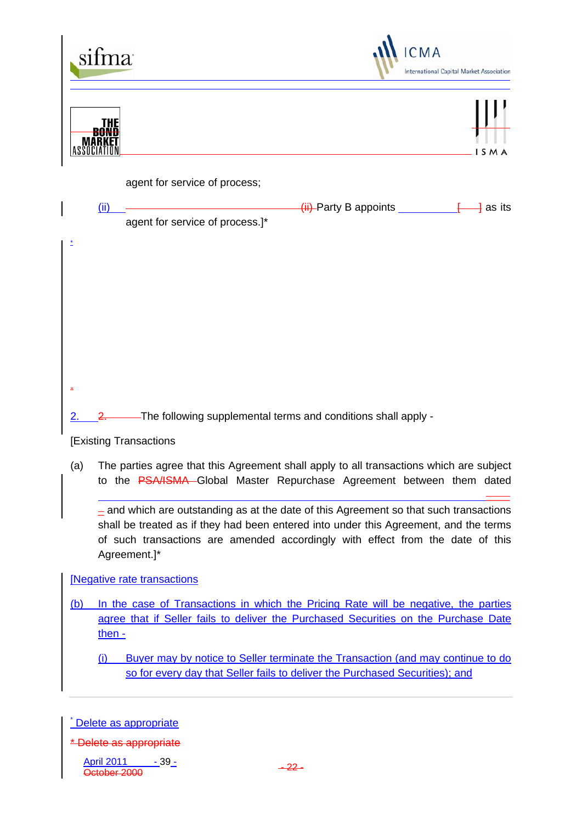| sifma                                   | CMA<br><b>International Capital Market Association</b>                                                                                                                                                                                                                   |
|-----------------------------------------|--------------------------------------------------------------------------------------------------------------------------------------------------------------------------------------------------------------------------------------------------------------------------|
|                                         | ISMA                                                                                                                                                                                                                                                                     |
| agent for service of process;           |                                                                                                                                                                                                                                                                          |
| (ii)<br>agent for service of process.]* |                                                                                                                                                                                                                                                                          |
|                                         |                                                                                                                                                                                                                                                                          |
|                                         |                                                                                                                                                                                                                                                                          |
|                                         |                                                                                                                                                                                                                                                                          |
| 率                                       |                                                                                                                                                                                                                                                                          |
|                                         | -The following supplemental terms and conditions shall apply -                                                                                                                                                                                                           |
| <b>[Existing Transactions</b>           |                                                                                                                                                                                                                                                                          |
| (a)                                     | The parties agree that this Agreement shall apply to all transactions which are subject<br>to the PSA/ISMA Global Master Repurchase Agreement between them dated                                                                                                         |
| Agreement.]*                            | $\equiv$ and which are outstanding as at the date of this Agreement so that such transactions<br>shall be treated as if they had been entered into under this Agreement, and the terms<br>of such transactions are amended accordingly with effect from the date of this |
| Megative rate transactions              |                                                                                                                                                                                                                                                                          |
| (b)<br><u>then -</u>                    | In the case of Transactions in which the Pricing Rate will be negative, the parties<br>agree that if Seller fails to deliver the Purchased Securities on the Purchase Date                                                                                               |
| (i)                                     | <b>Buyer may by notice to Seller terminate the Transaction (and may continue to do</b><br>so for every day that Seller fails to deliver the Purchased Securities); and                                                                                                   |
| Delete as appropriate                   |                                                                                                                                                                                                                                                                          |

\* Delete as appropriate

April 2011 - 39 - October 2000 - <sup>22</sup> -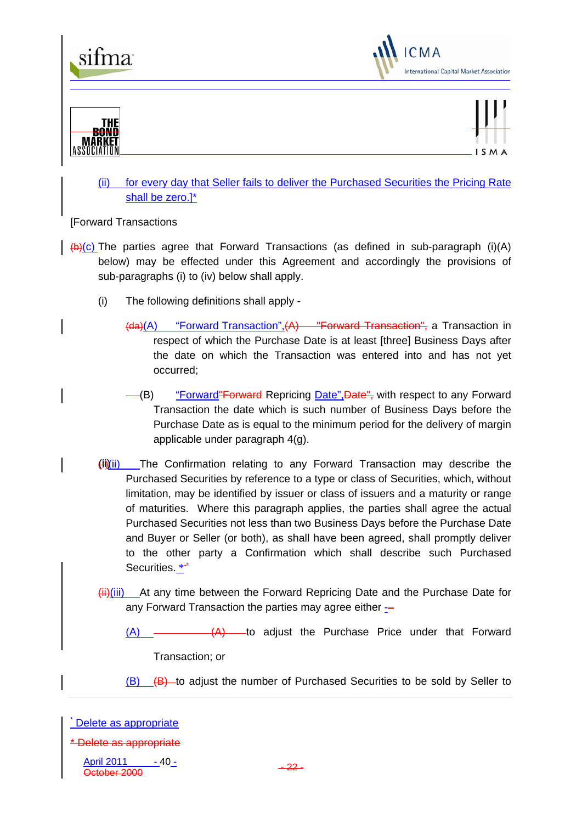



ISMA



# (ii) for every day that Seller fails to deliver the Purchased Securities the Pricing Rate shall be zero.]\*

[Forward Transactions

- $\frac{f(b)}{c}$  The parties agree that Forward Transactions (as defined in sub-paragraph (i)(A) below) may be effected under this Agreement and accordingly the provisions of sub-paragraphs (i) to (iv) below shall apply.
	- (i) The following definitions shall apply
		- (da)(A) "Forward Transaction",(A) "Forward Transaction", a Transaction in respect of which the Purchase Date is at least [three] Business Days after the date on which the Transaction was entered into and has not yet occurred;
		- (B) "Forward Forward Repricing Date", Date", with respect to any Forward Transaction the date which is such number of Business Days before the Purchase Date as is equal to the minimum period for the delivery of margin applicable under paragraph 4(g).
	- (ii) The Confirmation relating to any Forward Transaction may describe the Purchased Securities by reference to a type or class of Securities, which, without limitation, may be identified by issuer or class of issuers and a maturity or range of maturities. Where this paragraph applies, the parties shall agree the actual Purchased Securities not less than two Business Days before the Purchase Date and Buyer or Seller (or both), as shall have been agreed, shall promptly deliver to the other party a Confirmation which shall describe such Purchased Securities. \*\*
	- $\frac{H_i}{H_i}$ (iii) At any time between the Forward Repricing Date and the Purchase Date for any Forward Transaction the parties may agree either  $-$

 $(A)$   $\longrightarrow$   $(A)$  to adjust the Purchase Price under that Forward

Transaction; or

 $(B)$   $(B)$  to adjust the number of Purchased Securities to be sold by Seller to

<u>\* Delete as appropriate</u>

|  |  | * Delete as appropriate |
|--|--|-------------------------|
|  |  |                         |

April 2011 - 40 -<u>April 2011 - 2012</u><br>October 2000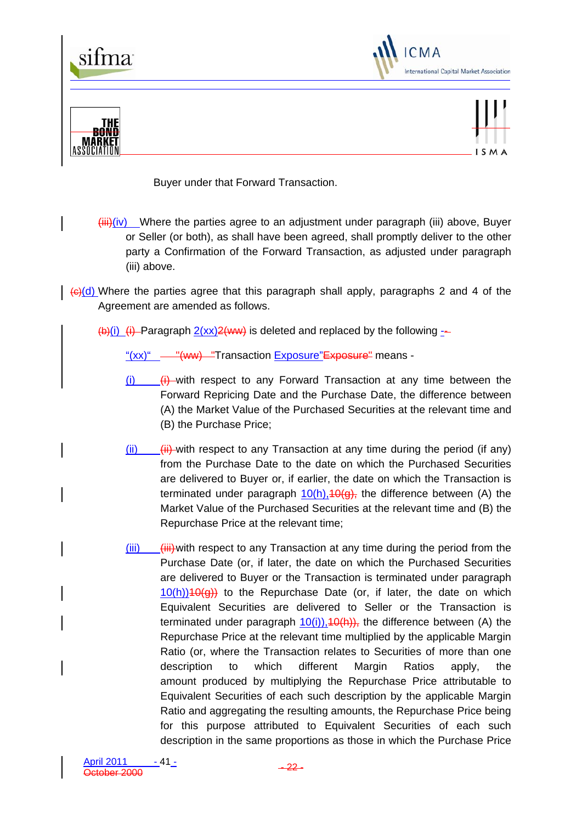





Buyer under that Forward Transaction.

- $\frac{\overline{f(i)}\overline{f(i)}}{\overline{f(i)}}$  Where the parties agree to an adjustment under paragraph (iii) above, Buyer or Seller (or both), as shall have been agreed, shall promptly deliver to the other party a Confirmation of the Forward Transaction, as adjusted under paragraph (iii) above.
- $\left(\frac{c}{c}\right)$  Where the parties agree that this paragraph shall apply, paragraphs 2 and 4 of the Agreement are amended as follows.

 $\left(\frac{b}{i}\right)$  (i)  $\left(\frac{c}{i}\right)$  Paragraph  $2(xx)2(ww)$  is deleted and replaced by the following -

"(xx)" - "(ww) "Transaction Exposure"Exposure" means -

- $(i)$   $(i)$  with respect to any Forward Transaction at any time between the Forward Repricing Date and the Purchase Date, the difference between (A) the Market Value of the Purchased Securities at the relevant time and (B) the Purchase Price;
- $(iii)$   $(ii)$  with respect to any Transaction at any time during the period (if any) from the Purchase Date to the date on which the Purchased Securities are delivered to Buyer or, if earlier, the date on which the Transaction is terminated under paragraph  $10(h)$ ,  $10(g)$ , the difference between (A) the Market Value of the Purchased Securities at the relevant time and (B) the Repurchase Price at the relevant time;
- $(iii)$   $(iii)$  with respect to any Transaction at any time during the period from the Purchase Date (or, if later, the date on which the Purchased Securities are delivered to Buyer or the Transaction is terminated under paragraph  $10(h)$ ) $10(g)$  to the Repurchase Date (or, if later, the date on which Equivalent Securities are delivered to Seller or the Transaction is terminated under paragraph  $10(i)$ ),  $10(h)$ , the difference between (A) the Repurchase Price at the relevant time multiplied by the applicable Margin Ratio (or, where the Transaction relates to Securities of more than one description to which different Margin Ratios apply, the amount produced by multiplying the Repurchase Price attributable to Equivalent Securities of each such description by the applicable Margin Ratio and aggregating the resulting amounts, the Repurchase Price being for this purpose attributed to Equivalent Securities of each such description in the same proportions as those in which the Purchase Price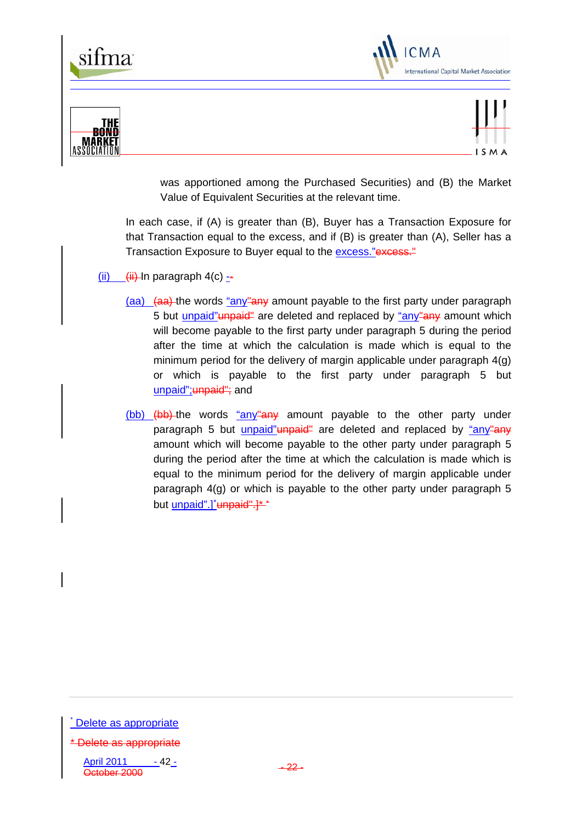

**BÓND** MARI



ISMA



was apportioned among the Purchased Securities) and (B) the Market Value of Equivalent Securities at the relevant time.

In each case, if (A) is greater than (B), Buyer has a Transaction Exposure for that Transaction equal to the excess, and if (B) is greater than (A), Seller has a Transaction Exposure to Buyer equal to the excess."excess."

 $(ii)$   $(iii)$ -In paragraph  $4(c)$ -

- (aa)  $(a^2 + b^2)$  the words "any" any amount payable to the first party under paragraph 5 but unpaid"unpaid" are deleted and replaced by "any" any amount which will become payable to the first party under paragraph 5 during the period after the time at which the calculation is made which is equal to the minimum period for the delivery of margin applicable under paragraph 4(g) or which is payable to the first party under paragraph 5 but unpaid"; unpaid"; and
- (bb) (bb) the words "any"any amount payable to the other party under paragraph 5 but *unpaid*"unpaid" are deleted and replaced by "any" any amount which will become payable to the other party under paragraph 5 during the period after the time at which the calculation is made which is equal to the minimum period for the delivery of margin applicable under paragraph 4(g) or which is payable to the other party under paragraph 5 but <u>unpaid".]<sup>∗</sup>unpaid".</u>}\*<sup>\*</sup>

<u>\* Delete as appropriate</u>

**Delete as appropriate** 

April 2011 - 42 -<u>Apm 2011 - 22 -</u><br>October 2000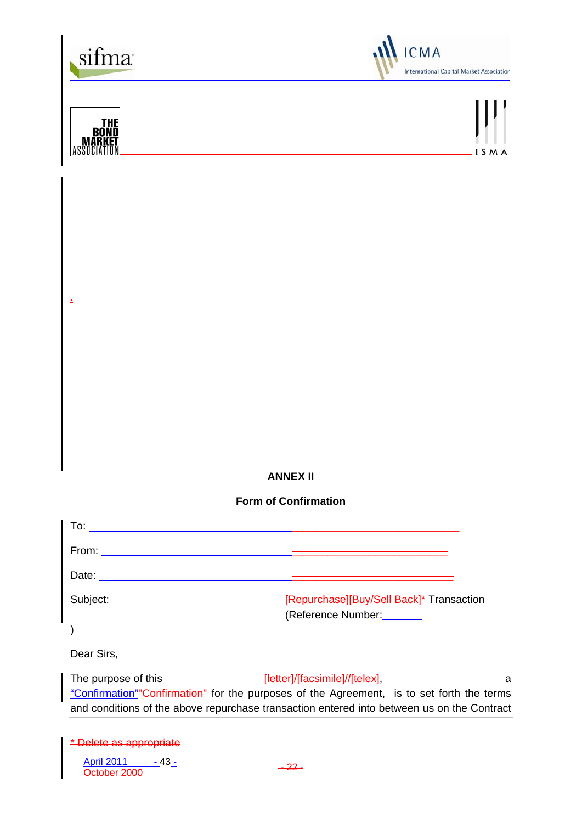

## **ANNEX II**

# **Form of Confirmation**

| To:                                                                                                                                                                                                                            |                                          |
|--------------------------------------------------------------------------------------------------------------------------------------------------------------------------------------------------------------------------------|------------------------------------------|
| From: _____________________________                                                                                                                                                                                            |                                          |
| Date: the contract of the contract of the contract of the contract of the contract of the contract of the contract of the contract of the contract of the contract of the contract of the contract of the contract of the cont |                                          |
| Subject:                                                                                                                                                                                                                       | [Repurchase][Buy/Sell Back]* Transaction |
|                                                                                                                                                                                                                                |                                          |

## Dear Sirs,

The purpose of this \_\_\_\_\_\_\_\_\_\_\_\_\_\_\_\_\_\_\_\_\_\_\_<del>[letter]/[facsimile]//[telex]</del>, a a a "Confirmation" Confirmation" for the purposes of the Agreement,- is to set forth the terms and conditions of the above repurchase transaction entered into between us on the Contract

| * Delete as appropriate           |        |  |
|-----------------------------------|--------|--|
| <b>April 2011</b><br>October 2000 | - 43 - |  |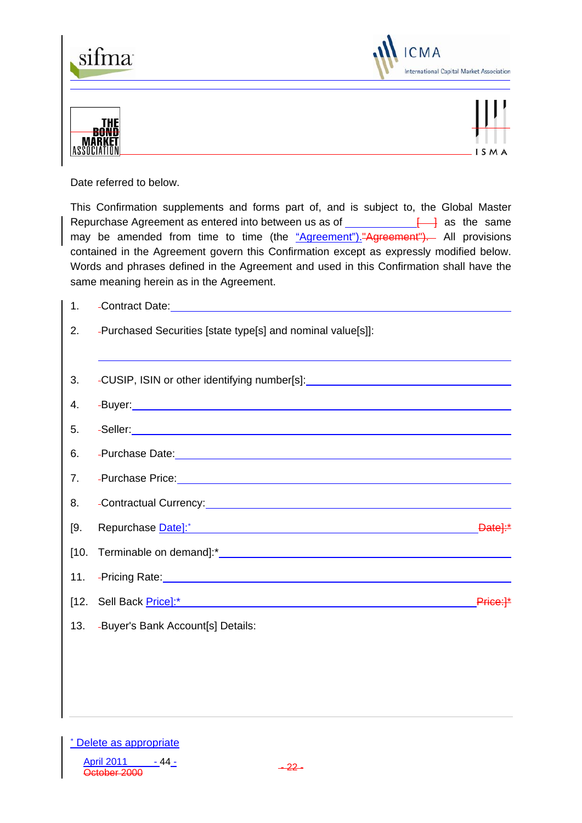

Date referred to below.

This Confirmation supplements and forms part of, and is subject to, the Global Master Repurchase Agreement as entered into between us as of  $\begin{array}{c} \begin{array}{c} \end{array} \end{array}$  as the same may be amended from time to time (the "Agreement"). "Agreement"). All provisions contained in the Agreement govern this Confirmation except as expressly modified below. Words and phrases defined in the Agreement and used in this Confirmation shall have the same meaning herein as in the Agreement.

- 1. Contract Date:
- 2. Purchased Securities [state type[s] and nominal value[s]]:

| 5. -Seller: 2000 - 2000 - 2000 - 2000 - 2000 - 2000 - 2000 - 2000 - 2000 - 2000 - 2000 - 2000 - 2000 - 2000 - 2000 - 2000 - 2000 - 2000 - 2000 - 2000 - 2000 - 2000 - 2000 - 2000 - 2000 - 2000 - 2000 - 2000 - 2000 - 2000 - |                |
|-------------------------------------------------------------------------------------------------------------------------------------------------------------------------------------------------------------------------------|----------------|
| 6. Purchase Date: 2008 and 2008 and 2008 and 2008 and 2008 and 2008 and 2008 and 2008 and 2008 and 2008 and 20                                                                                                                |                |
| 7. Purchase Price: 2008 and 2009 and 2009 and 2009 and 2009 and 2009 and 2009 and 2009 and 2009 and 2009 and 20                                                                                                               |                |
|                                                                                                                                                                                                                               |                |
|                                                                                                                                                                                                                               |                |
|                                                                                                                                                                                                                               |                |
| 11. Pricing Rate: 10. Pricing Rate: 10. Pricing Rate: 10. Pricing Rate: 10. Pricing Rate: 10. Pricing Rate: 1                                                                                                                 |                |
|                                                                                                                                                                                                                               | <u>Price:1</u> |
|                                                                                                                                                                                                                               |                |

13. - Buyer's Bank Account[s] Details: